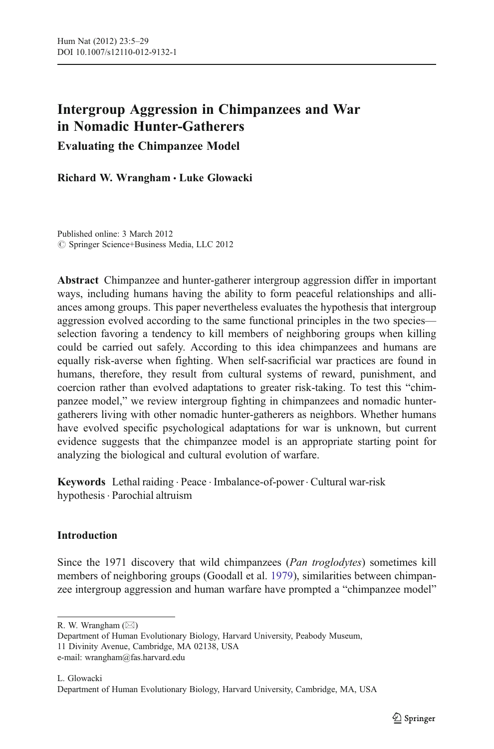# Intergroup Aggression in Chimpanzees and War in Nomadic Hunter-Gatherers

Evaluating the Chimpanzee Model

Richard W. Wrangham · Luke Glowacki

Published online: 3 March 2012  $\oslash$  Springer Science+Business Media, LLC 2012

Abstract Chimpanzee and hunter-gatherer intergroup aggression differ in important ways, including humans having the ability to form peaceful relationships and alliances among groups. This paper nevertheless evaluates the hypothesis that intergroup aggression evolved according to the same functional principles in the two species selection favoring a tendency to kill members of neighboring groups when killing could be carried out safely. According to this idea chimpanzees and humans are equally risk-averse when fighting. When self-sacrificial war practices are found in humans, therefore, they result from cultural systems of reward, punishment, and coercion rather than evolved adaptations to greater risk-taking. To test this "chimpanzee model," we review intergroup fighting in chimpanzees and nomadic huntergatherers living with other nomadic hunter-gatherers as neighbors. Whether humans have evolved specific psychological adaptations for war is unknown, but current evidence suggests that the chimpanzee model is an appropriate starting point for analyzing the biological and cultural evolution of warfare.

Keywords Lethal raiding . Peace . Imbalance-of-power. Cultural war-risk hypothesis . Parochial altruism

## Introduction

Since the 1971 discovery that wild chimpanzees (Pan troglodytes) sometimes kill members of neighboring groups (Goodall et al. [1979\)](#page-21-0), similarities between chimpanzee intergroup aggression and human warfare have prompted a "chimpanzee model"

R. W. Wrangham  $(\boxtimes)$ 

Department of Human Evolutionary Biology, Harvard University, Peabody Museum, 11 Divinity Avenue, Cambridge, MA 02138, USA e-mail: wrangham@fas.harvard.edu

L. Glowacki Department of Human Evolutionary Biology, Harvard University, Cambridge, MA, USA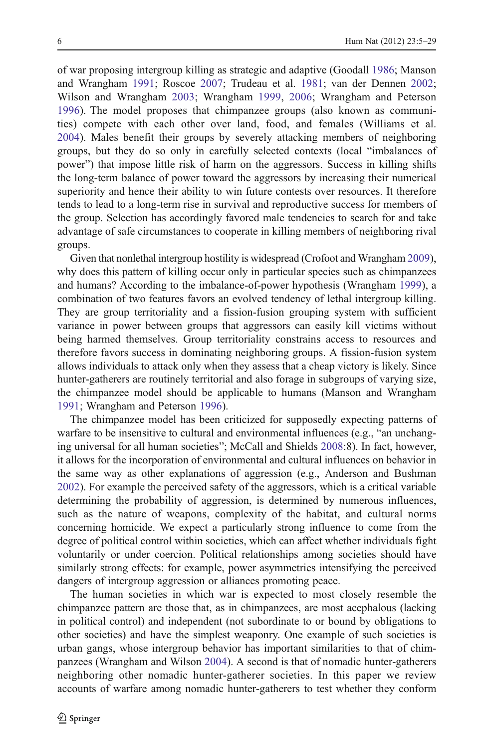of war proposing intergroup killing as strategic and adaptive (Goodall [1986](#page-21-0); Manson and Wrangham [1991;](#page-22-0) Roscoe [2007](#page-23-0); Trudeau et al. [1981;](#page-23-0) van der Dennen [2002;](#page-24-0) Wilson and Wrangham [2003](#page-24-0); Wrangham [1999](#page-24-0), [2006;](#page-24-0) Wrangham and Peterson [1996\)](#page-24-0). The model proposes that chimpanzee groups (also known as communities) compete with each other over land, food, and females (Williams et al. [2004\)](#page-24-0). Males benefit their groups by severely attacking members of neighboring groups, but they do so only in carefully selected contexts (local "imbalances of power") that impose little risk of harm on the aggressors. Success in killing shifts the long-term balance of power toward the aggressors by increasing their numerical superiority and hence their ability to win future contests over resources. It therefore tends to lead to a long-term rise in survival and reproductive success for members of the group. Selection has accordingly favored male tendencies to search for and take advantage of safe circumstances to cooperate in killing members of neighboring rival groups.

Given that nonlethal intergroup hostility is widespread (Crofoot and Wrangham [2009\)](#page-20-0), why does this pattern of killing occur only in particular species such as chimpanzees and humans? According to the imbalance-of-power hypothesis (Wrangham [1999](#page-24-0)), a combination of two features favors an evolved tendency of lethal intergroup killing. They are group territoriality and a fission-fusion grouping system with sufficient variance in power between groups that aggressors can easily kill victims without being harmed themselves. Group territoriality constrains access to resources and therefore favors success in dominating neighboring groups. A fission-fusion system allows individuals to attack only when they assess that a cheap victory is likely. Since hunter-gatherers are routinely territorial and also forage in subgroups of varying size, the chimpanzee model should be applicable to humans (Manson and Wrangham [1991;](#page-22-0) Wrangham and Peterson [1996\)](#page-24-0).

The chimpanzee model has been criticized for supposedly expecting patterns of warfare to be insensitive to cultural and environmental influences (e.g., "an unchanging universal for all human societies"; McCall and Shields [2008:](#page-22-0)8). In fact, however, it allows for the incorporation of environmental and cultural influences on behavior in the same way as other explanations of aggression (e.g., Anderson and Bushman [2002\)](#page-20-0). For example the perceived safety of the aggressors, which is a critical variable determining the probability of aggression, is determined by numerous influences, such as the nature of weapons, complexity of the habitat, and cultural norms concerning homicide. We expect a particularly strong influence to come from the degree of political control within societies, which can affect whether individuals fight voluntarily or under coercion. Political relationships among societies should have similarly strong effects: for example, power asymmetries intensifying the perceived dangers of intergroup aggression or alliances promoting peace.

The human societies in which war is expected to most closely resemble the chimpanzee pattern are those that, as in chimpanzees, are most acephalous (lacking in political control) and independent (not subordinate to or bound by obligations to other societies) and have the simplest weaponry. One example of such societies is urban gangs, whose intergroup behavior has important similarities to that of chimpanzees (Wrangham and Wilson [2004\)](#page-24-0). A second is that of nomadic hunter-gatherers neighboring other nomadic hunter-gatherer societies. In this paper we review accounts of warfare among nomadic hunter-gatherers to test whether they conform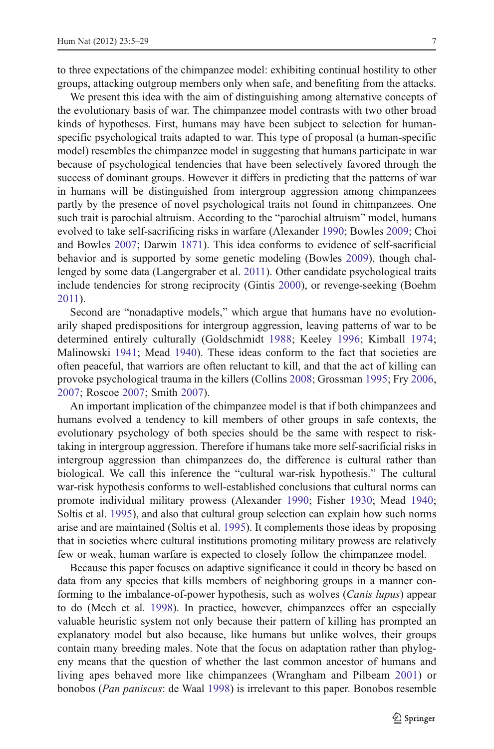to three expectations of the chimpanzee model: exhibiting continual hostility to other groups, attacking outgroup members only when safe, and benefiting from the attacks.

We present this idea with the aim of distinguishing among alternative concepts of the evolutionary basis of war. The chimpanzee model contrasts with two other broad kinds of hypotheses. First, humans may have been subject to selection for humanspecific psychological traits adapted to war. This type of proposal (a human-specific model) resembles the chimpanzee model in suggesting that humans participate in war because of psychological tendencies that have been selectively favored through the success of dominant groups. However it differs in predicting that the patterns of war in humans will be distinguished from intergroup aggression among chimpanzees partly by the presence of novel psychological traits not found in chimpanzees. One such trait is parochial altruism. According to the "parochial altruism" model, humans evolved to take self-sacrificing risks in warfare (Alexander [1990](#page-19-0); Bowles [2009;](#page-20-0) Choi and Bowles [2007;](#page-20-0) Darwin [1871\)](#page-20-0). This idea conforms to evidence of self-sacrificial behavior and is supported by some genetic modeling (Bowles [2009](#page-20-0)), though challenged by some data (Langergraber et al. [2011\)](#page-22-0). Other candidate psychological traits include tendencies for strong reciprocity (Gintis [2000\)](#page-21-0), or revenge-seeking (Boehm [2011\)](#page-20-0).

Second are "nonadaptive models," which argue that humans have no evolutionarily shaped predispositions for intergroup aggression, leaving patterns of war to be determined entirely culturally (Goldschmidt [1988;](#page-21-0) Keeley [1996](#page-22-0); Kimball [1974;](#page-22-0) Malinowski [1941](#page-22-0); Mead [1940](#page-22-0)). These ideas conform to the fact that societies are often peaceful, that warriors are often reluctant to kill, and that the act of killing can provoke psychological trauma in the killers (Collins [2008;](#page-20-0) Grossman [1995;](#page-21-0) Fry [2006,](#page-21-0) [2007;](#page-21-0) Roscoe [2007;](#page-23-0) Smith [2007](#page-23-0)).

An important implication of the chimpanzee model is that if both chimpanzees and humans evolved a tendency to kill members of other groups in safe contexts, the evolutionary psychology of both species should be the same with respect to risktaking in intergroup aggression. Therefore if humans take more self-sacrificial risks in intergroup aggression than chimpanzees do, the difference is cultural rather than biological. We call this inference the "cultural war-risk hypothesis." The cultural war-risk hypothesis conforms to well-established conclusions that cultural norms can promote individual military prowess (Alexander [1990;](#page-19-0) Fisher [1930](#page-21-0); Mead [1940;](#page-22-0) Soltis et al. [1995\)](#page-23-0), and also that cultural group selection can explain how such norms arise and are maintained (Soltis et al. [1995\)](#page-23-0). It complements those ideas by proposing that in societies where cultural institutions promoting military prowess are relatively few or weak, human warfare is expected to closely follow the chimpanzee model.

Because this paper focuses on adaptive significance it could in theory be based on data from any species that kills members of neighboring groups in a manner conforming to the imbalance-of-power hypothesis, such as wolves (*Canis lupus*) appear to do (Mech et al. [1998\)](#page-22-0). In practice, however, chimpanzees offer an especially valuable heuristic system not only because their pattern of killing has prompted an explanatory model but also because, like humans but unlike wolves, their groups contain many breeding males. Note that the focus on adaptation rather than phylogeny means that the question of whether the last common ancestor of humans and living apes behaved more like chimpanzees (Wrangham and Pilbeam [2001](#page-24-0)) or bonobos (Pan paniscus: de Waal [1998\)](#page-20-0) is irrelevant to this paper. Bonobos resemble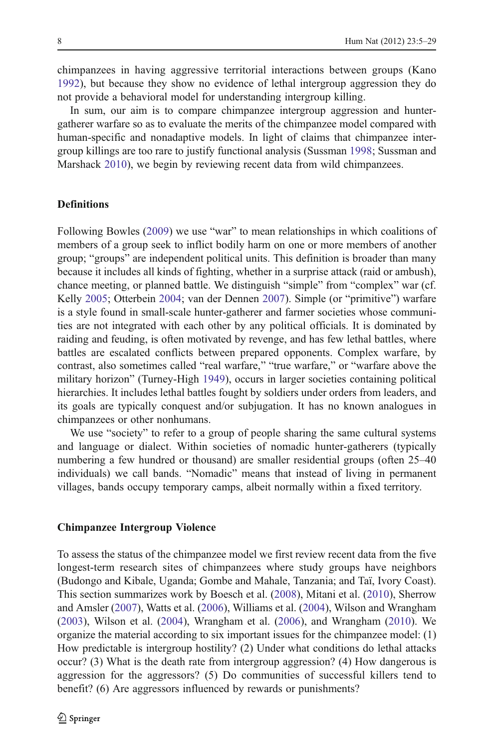chimpanzees in having aggressive territorial interactions between groups (Kano [1992\)](#page-22-0), but because they show no evidence of lethal intergroup aggression they do not provide a behavioral model for understanding intergroup killing.

In sum, our aim is to compare chimpanzee intergroup aggression and huntergatherer warfare so as to evaluate the merits of the chimpanzee model compared with human-specific and nonadaptive models. In light of claims that chimpanzee intergroup killings are too rare to justify functional analysis (Sussman [1998](#page-23-0); Sussman and Marshack [2010\)](#page-23-0), we begin by reviewing recent data from wild chimpanzees.

### **Definitions**

Following Bowles [\(2009](#page-20-0)) we use "war" to mean relationships in which coalitions of members of a group seek to inflict bodily harm on one or more members of another group; "groups" are independent political units. This definition is broader than many because it includes all kinds of fighting, whether in a surprise attack (raid or ambush), chance meeting, or planned battle. We distinguish "simple" from "complex" war (cf. Kelly [2005;](#page-22-0) Otterbein [2004;](#page-23-0) van der Dennen [2007\)](#page-24-0). Simple (or "primitive") warfare is a style found in small-scale hunter-gatherer and farmer societies whose communities are not integrated with each other by any political officials. It is dominated by raiding and feuding, is often motivated by revenge, and has few lethal battles, where battles are escalated conflicts between prepared opponents. Complex warfare, by contrast, also sometimes called "real warfare," "true warfare," or "warfare above the military horizon" (Turney-High [1949](#page-23-0)), occurs in larger societies containing political hierarchies. It includes lethal battles fought by soldiers under orders from leaders, and its goals are typically conquest and/or subjugation. It has no known analogues in chimpanzees or other nonhumans.

We use "society" to refer to a group of people sharing the same cultural systems and language or dialect. Within societies of nomadic hunter-gatherers (typically numbering a few hundred or thousand) are smaller residential groups (often 25–40 individuals) we call bands. "Nomadic" means that instead of living in permanent villages, bands occupy temporary camps, albeit normally within a fixed territory.

#### Chimpanzee Intergroup Violence

To assess the status of the chimpanzee model we first review recent data from the five longest-term research sites of chimpanzees where study groups have neighbors (Budongo and Kibale, Uganda; Gombe and Mahale, Tanzania; and Taï, Ivory Coast). This section summarizes work by Boesch et al. [\(2008](#page-20-0)), Mitani et al. ([2010\)](#page-22-0), Sherrow and Amsler [\(2007](#page-23-0)), Watts et al. [\(2006\)](#page-24-0), Williams et al. ([2004](#page-24-0)), Wilson and Wrangham [\(2003](#page-24-0)), Wilson et al. [\(2004](#page-24-0)), Wrangham et al. ([2006\)](#page-24-0), and Wrangham ([2010\)](#page-24-0). We organize the material according to six important issues for the chimpanzee model: (1) How predictable is intergroup hostility? (2) Under what conditions do lethal attacks occur? (3) What is the death rate from intergroup aggression? (4) How dangerous is aggression for the aggressors? (5) Do communities of successful killers tend to benefit? (6) Are aggressors influenced by rewards or punishments?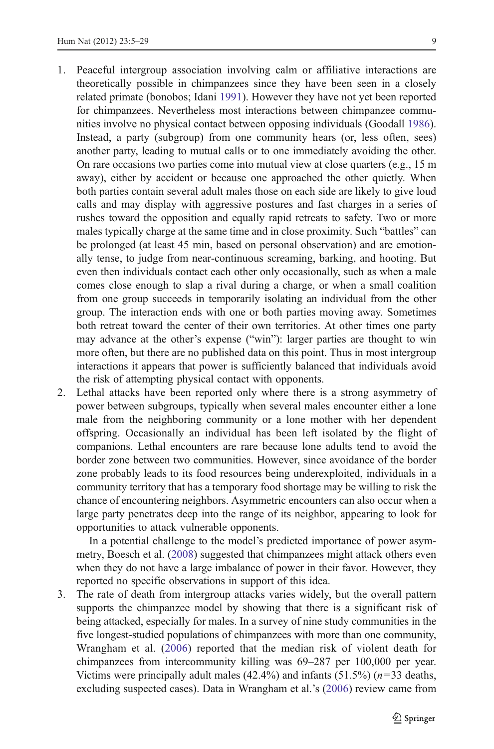- 1. Peaceful intergroup association involving calm or affiliative interactions are theoretically possible in chimpanzees since they have been seen in a closely related primate (bonobos; Idani [1991\)](#page-22-0). However they have not yet been reported for chimpanzees. Nevertheless most interactions between chimpanzee communities involve no physical contact between opposing individuals (Goodall [1986\)](#page-21-0). Instead, a party (subgroup) from one community hears (or, less often, sees) another party, leading to mutual calls or to one immediately avoiding the other. On rare occasions two parties come into mutual view at close quarters (e.g., 15 m away), either by accident or because one approached the other quietly. When both parties contain several adult males those on each side are likely to give loud calls and may display with aggressive postures and fast charges in a series of rushes toward the opposition and equally rapid retreats to safety. Two or more males typically charge at the same time and in close proximity. Such "battles" can be prolonged (at least 45 min, based on personal observation) and are emotionally tense, to judge from near-continuous screaming, barking, and hooting. But even then individuals contact each other only occasionally, such as when a male comes close enough to slap a rival during a charge, or when a small coalition from one group succeeds in temporarily isolating an individual from the other group. The interaction ends with one or both parties moving away. Sometimes both retreat toward the center of their own territories. At other times one party may advance at the other's expense ("win"): larger parties are thought to win more often, but there are no published data on this point. Thus in most intergroup interactions it appears that power is sufficiently balanced that individuals avoid the risk of attempting physical contact with opponents.
- 2. Lethal attacks have been reported only where there is a strong asymmetry of power between subgroups, typically when several males encounter either a lone male from the neighboring community or a lone mother with her dependent offspring. Occasionally an individual has been left isolated by the flight of companions. Lethal encounters are rare because lone adults tend to avoid the border zone between two communities. However, since avoidance of the border zone probably leads to its food resources being underexploited, individuals in a community territory that has a temporary food shortage may be willing to risk the chance of encountering neighbors. Asymmetric encounters can also occur when a large party penetrates deep into the range of its neighbor, appearing to look for opportunities to attack vulnerable opponents.

In a potential challenge to the model's predicted importance of power asymmetry, Boesch et al. [\(2008](#page-20-0)) suggested that chimpanzees might attack others even when they do not have a large imbalance of power in their favor. However, they reported no specific observations in support of this idea.

3. The rate of death from intergroup attacks varies widely, but the overall pattern supports the chimpanzee model by showing that there is a significant risk of being attacked, especially for males. In a survey of nine study communities in the five longest-studied populations of chimpanzees with more than one community, Wrangham et al. ([2006](#page-24-0)) reported that the median risk of violent death for chimpanzees from intercommunity killing was 69–287 per 100,000 per year. Victims were principally adult males  $(42.4\%)$  and infants  $(51.5\%)$   $(n=33$  deaths, excluding suspected cases). Data in Wrangham et al.'s [\(2006](#page-24-0)) review came from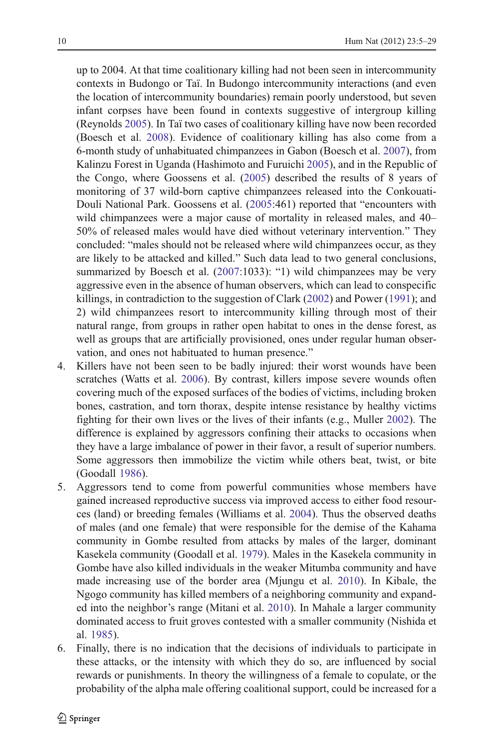up to 2004. At that time coalitionary killing had not been seen in intercommunity contexts in Budongo or Taï. In Budongo intercommunity interactions (and even the location of intercommunity boundaries) remain poorly understood, but seven infant corpses have been found in contexts suggestive of intergroup killing (Reynolds [2005\)](#page-23-0). In Taï two cases of coalitionary killing have now been recorded (Boesch et al. [2008](#page-20-0)). Evidence of coalitionary killing has also come from a 6-month study of unhabituated chimpanzees in Gabon (Boesch et al. [2007](#page-20-0)), from Kalinzu Forest in Uganda (Hashimoto and Furuichi [2005](#page-21-0)), and in the Republic of the Congo, where Goossens et al. [\(2005](#page-21-0)) described the results of 8 years of monitoring of 37 wild-born captive chimpanzees released into the Conkouati-Douli National Park. Goossens et al. [\(2005](#page-21-0):461) reported that "encounters with wild chimpanzees were a major cause of mortality in released males, and 40– 50% of released males would have died without veterinary intervention." They concluded: "males should not be released where wild chimpanzees occur, as they are likely to be attacked and killed." Such data lead to two general conclusions, summarized by Boesch et al. [\(2007](#page-20-0):1033): "1) wild chimpanzees may be very aggressive even in the absence of human observers, which can lead to conspecific killings, in contradiction to the suggestion of Clark [\(2002](#page-20-0)) and Power ([1991\)](#page-23-0); and 2) wild chimpanzees resort to intercommunity killing through most of their natural range, from groups in rather open habitat to ones in the dense forest, as well as groups that are artificially provisioned, ones under regular human observation, and ones not habituated to human presence."

- 4. Killers have not been seen to be badly injured: their worst wounds have been scratches (Watts et al. [2006](#page-24-0)). By contrast, killers impose severe wounds often covering much of the exposed surfaces of the bodies of victims, including broken bones, castration, and torn thorax, despite intense resistance by healthy victims fighting for their own lives or the lives of their infants (e.g., Muller [2002](#page-23-0)). The difference is explained by aggressors confining their attacks to occasions when they have a large imbalance of power in their favor, a result of superior numbers. Some aggressors then immobilize the victim while others beat, twist, or bite (Goodall [1986](#page-21-0)).
- 5. Aggressors tend to come from powerful communities whose members have gained increased reproductive success via improved access to either food resources (land) or breeding females (Williams et al. [2004\)](#page-24-0). Thus the observed deaths of males (and one female) that were responsible for the demise of the Kahama community in Gombe resulted from attacks by males of the larger, dominant Kasekela community (Goodall et al. [1979](#page-21-0)). Males in the Kasekela community in Gombe have also killed individuals in the weaker Mitumba community and have made increasing use of the border area (Mjungu et al. [2010](#page-22-0)). In Kibale, the Ngogo community has killed members of a neighboring community and expanded into the neighbor's range (Mitani et al. [2010](#page-22-0)). In Mahale a larger community dominated access to fruit groves contested with a smaller community (Nishida et al. [1985\)](#page-23-0).
- 6. Finally, there is no indication that the decisions of individuals to participate in these attacks, or the intensity with which they do so, are influenced by social rewards or punishments. In theory the willingness of a female to copulate, or the probability of the alpha male offering coalitional support, could be increased for a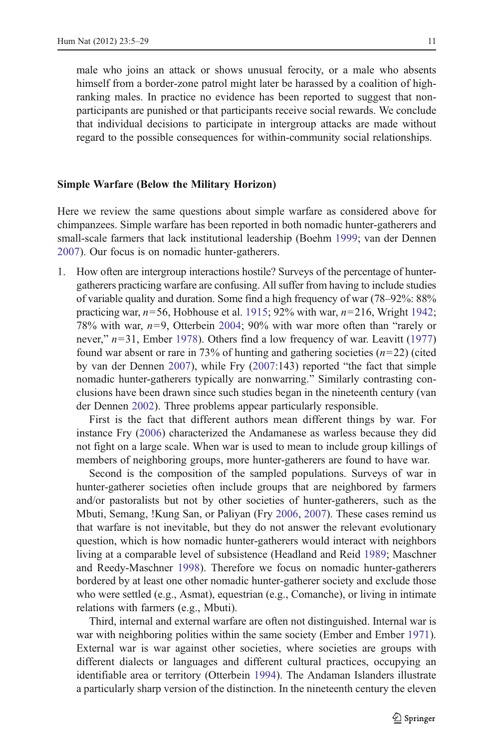male who joins an attack or shows unusual ferocity, or a male who absents himself from a border-zone patrol might later be harassed by a coalition of highranking males. In practice no evidence has been reported to suggest that nonparticipants are punished or that participants receive social rewards. We conclude that individual decisions to participate in intergroup attacks are made without regard to the possible consequences for within-community social relationships.

### Simple Warfare (Below the Military Horizon)

Here we review the same questions about simple warfare as considered above for chimpanzees. Simple warfare has been reported in both nomadic hunter-gatherers and small-scale farmers that lack institutional leadership (Boehm [1999](#page-20-0); van der Dennen [2007\)](#page-24-0). Our focus is on nomadic hunter-gatherers.

1. How often are intergroup interactions hostile? Surveys of the percentage of huntergatherers practicing warfare are confusing. All suffer from having to include studies of variable quality and duration. Some find a high frequency of war (78–92%: 88% practicing war,  $n=56$ , Hobhouse et al. [1915](#page-21-0); 92% with war,  $n=216$ , Wright [1942;](#page-24-0) 78% with war,  $n=9$ , Otterbein [2004;](#page-23-0) 90% with war more often than "rarely or never,"  $n=31$ , Ember [1978](#page-21-0)). Others find a low frequency of war. Leavitt [\(1977](#page-22-0)) found war absent or rare in 73% of hunting and gathering societies  $(n=22)$  (cited by van der Dennen [2007\)](#page-24-0), while Fry ([2007:](#page-21-0)143) reported "the fact that simple nomadic hunter-gatherers typically are nonwarring." Similarly contrasting conclusions have been drawn since such studies began in the nineteenth century (van der Dennen [2002](#page-24-0)). Three problems appear particularly responsible.

First is the fact that different authors mean different things by war. For instance Fry ([2006\)](#page-21-0) characterized the Andamanese as warless because they did not fight on a large scale. When war is used to mean to include group killings of members of neighboring groups, more hunter-gatherers are found to have war.

Second is the composition of the sampled populations. Surveys of war in hunter-gatherer societies often include groups that are neighbored by farmers and/or pastoralists but not by other societies of hunter-gatherers, such as the Mbuti, Semang, !Kung San, or Paliyan (Fry [2006](#page-21-0), [2007\)](#page-21-0). These cases remind us that warfare is not inevitable, but they do not answer the relevant evolutionary question, which is how nomadic hunter-gatherers would interact with neighbors living at a comparable level of subsistence (Headland and Reid [1989;](#page-21-0) Maschner and Reedy-Maschner [1998\)](#page-22-0). Therefore we focus on nomadic hunter-gatherers bordered by at least one other nomadic hunter-gatherer society and exclude those who were settled (e.g., Asmat), equestrian (e.g., Comanche), or living in intimate relations with farmers (e.g., Mbuti).

Third, internal and external warfare are often not distinguished. Internal war is war with neighboring polities within the same society (Ember and Ember [1971\)](#page-21-0). External war is war against other societies, where societies are groups with different dialects or languages and different cultural practices, occupying an identifiable area or territory (Otterbein [1994\)](#page-23-0). The Andaman Islanders illustrate a particularly sharp version of the distinction. In the nineteenth century the eleven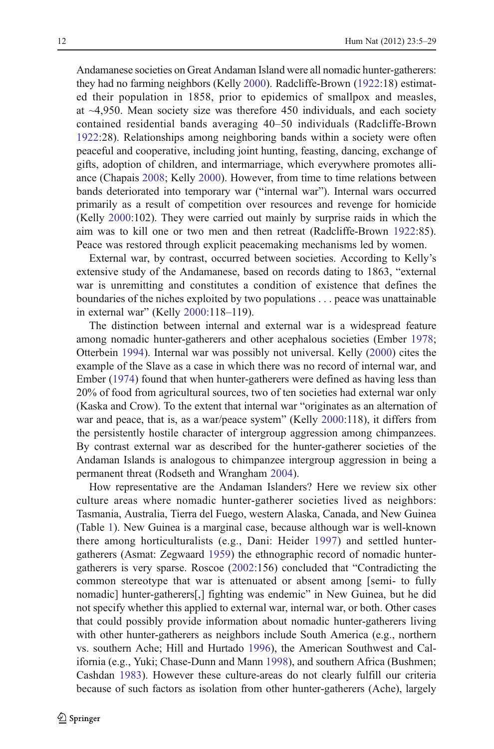Andamanese societies on Great Andaman Island were all nomadic hunter-gatherers: they had no farming neighbors (Kelly [2000\)](#page-22-0). Radcliffe-Brown [\(1922](#page-23-0):18) estimated their population in 1858, prior to epidemics of smallpox and measles, at ~4,950. Mean society size was therefore 450 individuals, and each society contained residential bands averaging 40–50 individuals (Radcliffe-Brown [1922:](#page-23-0)28). Relationships among neighboring bands within a society were often peaceful and cooperative, including joint hunting, feasting, dancing, exchange of gifts, adoption of children, and intermarriage, which everywhere promotes alliance (Chapais [2008;](#page-20-0) Kelly [2000\)](#page-22-0). However, from time to time relations between bands deteriorated into temporary war ("internal war"). Internal wars occurred primarily as a result of competition over resources and revenge for homicide (Kelly [2000:](#page-22-0)102). They were carried out mainly by surprise raids in which the aim was to kill one or two men and then retreat (Radcliffe-Brown [1922:](#page-23-0)85). Peace was restored through explicit peacemaking mechanisms led by women.

External war, by contrast, occurred between societies. According to Kelly's extensive study of the Andamanese, based on records dating to 1863, "external war is unremitting and constitutes a condition of existence that defines the boundaries of the niches exploited by two populations . . . peace was unattainable in external war" (Kelly [2000:](#page-22-0)118–119).

The distinction between internal and external war is a widespread feature among nomadic hunter-gatherers and other acephalous societies (Ember [1978;](#page-21-0) Otterbein [1994](#page-23-0)). Internal war was possibly not universal. Kelly ([2000\)](#page-22-0) cites the example of the Slave as a case in which there was no record of internal war, and Ember [\(1974](#page-21-0)) found that when hunter-gatherers were defined as having less than 20% of food from agricultural sources, two of ten societies had external war only (Kaska and Crow). To the extent that internal war "originates as an alternation of war and peace, that is, as a war/peace system" (Kelly [2000](#page-22-0):118), it differs from the persistently hostile character of intergroup aggression among chimpanzees. By contrast external war as described for the hunter-gatherer societies of the Andaman Islands is analogous to chimpanzee intergroup aggression in being a permanent threat (Rodseth and Wrangham [2004\)](#page-23-0).

How representative are the Andaman Islanders? Here we review six other culture areas where nomadic hunter-gatherer societies lived as neighbors: Tasmania, Australia, Tierra del Fuego, western Alaska, Canada, and New Guinea (Table [1](#page-8-0)). New Guinea is a marginal case, because although war is well-known there among horticulturalists (e.g., Dani: Heider [1997](#page-21-0)) and settled huntergatherers (Asmat: Zegwaard [1959](#page-24-0)) the ethnographic record of nomadic huntergatherers is very sparse. Roscoe [\(2002](#page-23-0):156) concluded that "Contradicting the common stereotype that war is attenuated or absent among [semi- to fully nomadic] hunter-gatherers[,] fighting was endemic" in New Guinea, but he did not specify whether this applied to external war, internal war, or both. Other cases that could possibly provide information about nomadic hunter-gatherers living with other hunter-gatherers as neighbors include South America (e.g., northern vs. southern Ache; Hill and Hurtado [1996\)](#page-21-0), the American Southwest and California (e.g., Yuki; Chase-Dunn and Mann [1998\)](#page-20-0), and southern Africa (Bushmen; Cashdan [1983](#page-20-0)). However these culture-areas do not clearly fulfill our criteria because of such factors as isolation from other hunter-gatherers (Ache), largely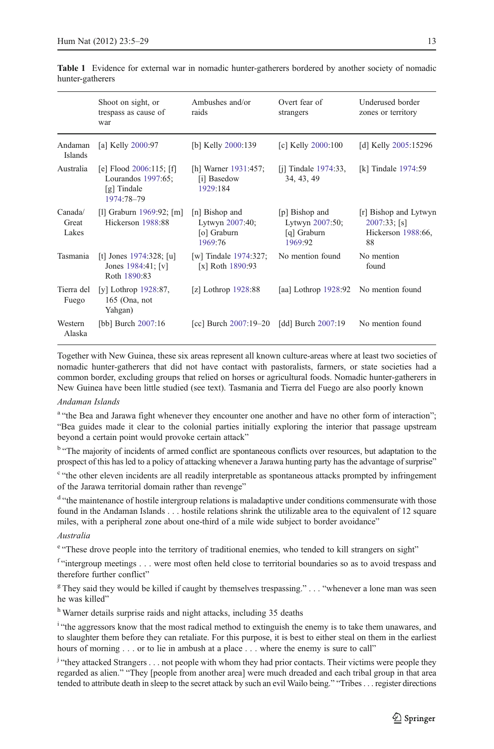|                           | Shoot on sight, or<br>trespass as cause of<br>war                              | Ambushes and/or<br>raids                                    | Overt fear of<br>strangers                                  | Underused border<br>zones or territory                               |
|---------------------------|--------------------------------------------------------------------------------|-------------------------------------------------------------|-------------------------------------------------------------|----------------------------------------------------------------------|
| Andaman<br><b>Islands</b> | [a] Kelly 2000:97                                                              | [b] Kelly 2000:139                                          | $[c]$ Kelly $2000:100$                                      | [d] Kelly 2005:15296                                                 |
| Australia                 | $[e]$ Flood 2006:115; $[f]$<br>Lourandos 1997:65;<br>[g] Tindale<br>1974:78-79 | [h] Warner 1931:457;<br>[i] Basedow<br>1929:184             | [i] Tindale $1974:33$ ,<br>34, 43, 49                       | [k] Tindale 1974:59                                                  |
| Canada/<br>Great<br>Lakes | [1] Graburn $1969:92$ ; [m]<br>Hickerson 1988:88                               | [n] Bishop and<br>Lytwyn 2007:40;<br>[o] Graburn<br>1969:76 | [p] Bishop and<br>Lytwyn 2007:50;<br>[q] Graburn<br>1969:92 | [r] Bishop and Lytwyn<br>$2007:33$ ; [s]<br>Hickerson 1988:66,<br>88 |
| Tasmania                  | [t] Jones $1974:328$ ; [u]<br>Jones 1984:41; [v]<br>Roth 1890:83               | [w] Tindale 1974:327;<br>[x] Roth $1890:93$                 | No mention found                                            | No mention<br>found                                                  |
| Tierra del<br>Fuego       | [y] Lothrop $1928:87$ ,<br>$165$ (Ona, not<br>Yahgan)                          | [ $z$ ] Lothrop $1928:88$                                   | [aa] Lothrop $1928:92$                                      | No mention found                                                     |
| Western<br>Alaska         | [bb] Burch 2007:16                                                             | [cc] Burch 2007:19–20                                       | [dd] Burch $2007:19$                                        | No mention found                                                     |

<span id="page-8-0"></span>Table 1 Evidence for external war in nomadic hunter-gatherers bordered by another society of nomadic hunter-gatherers

Together with New Guinea, these six areas represent all known culture-areas where at least two societies of nomadic hunter-gatherers that did not have contact with pastoralists, farmers, or state societies had a common border, excluding groups that relied on horses or agricultural foods. Nomadic hunter-gatherers in New Guinea have been little studied (see text). Tasmania and Tierra del Fuego are also poorly known

#### Andaman Islands

<sup>a</sup> "the Bea and Jarawa fight whenever they encounter one another and have no other form of interaction"; "Bea guides made it clear to the colonial parties initially exploring the interior that passage upstream beyond a certain point would provoke certain attack"

<sup>b</sup> "The majority of incidents of armed conflict are spontaneous conflicts over resources, but adaptation to the prospect of this has led to a policy of attacking whenever a Jarawa hunting party has the advantage of surprise"

<sup>c</sup> "the other eleven incidents are all readily interpretable as spontaneous attacks prompted by infringement of the Jarawa territorial domain rather than revenge"

<sup>d</sup> "the maintenance of hostile intergroup relations is maladaptive under conditions commensurate with those found in the Andaman Islands . . . hostile relations shrink the utilizable area to the equivalent of 12 square miles, with a peripheral zone about one-third of a mile wide subject to border avoidance"

#### Australia

e "These drove people into the territory of traditional enemies, who tended to kill strangers on sight"

f "intergroup meetings . . . were most often held close to territorial boundaries so as to avoid trespass and therefore further conflict"

 $g<sup>g</sup>$  They said they would be killed if caught by themselves trespassing." . . "whenever a lone man was seen he was killed"

h Warner details surprise raids and night attacks, including 35 deaths

<sup>i</sup> "the aggressors know that the most radical method to extinguish the enemy is to take them unawares, and to slaughter them before they can retaliate. For this purpose, it is best to either steal on them in the earliest hours of morning . . . or to lie in ambush at a place . . . where the enemy is sure to call"

<sup>j</sup> "they attacked Strangers . . . not people with whom they had prior contacts. Their victims were people they regarded as alien." "They [people from another area] were much dreaded and each tribal group in that area tended to attribute death in sleep to the secret attack by such an evil Wailo being." "Tribes . . . register directions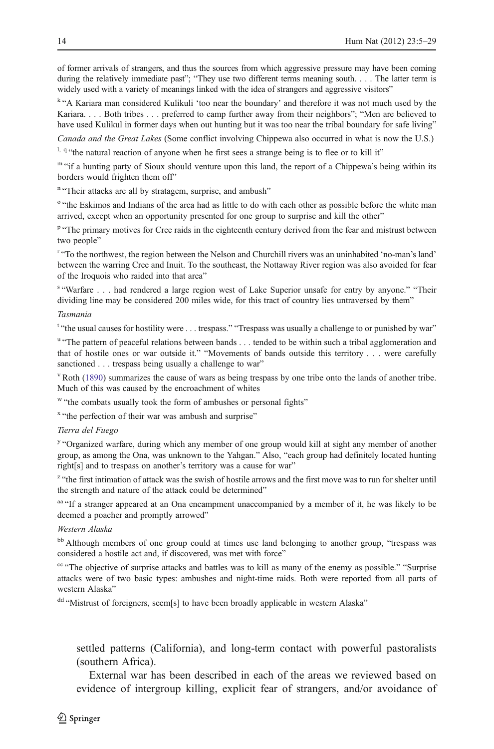of former arrivals of strangers, and thus the sources from which aggressive pressure may have been coming during the relatively immediate past"; "They use two different terms meaning south. . . . The latter term is widely used with a variety of meanings linked with the idea of strangers and aggressive visitors"

<sup>k</sup> "A Kariara man considered Kulikuli 'too near the boundary' and therefore it was not much used by the Kariara. . . . Both tribes . . . preferred to camp further away from their neighbors"; "Men are believed to have used Kulikul in former days when out hunting but it was too near the tribal boundary for safe living"

Canada and the Great Lakes (Some conflict involving Chippewa also occurred in what is now the U.S.)

<sup>1, q</sup> "the natural reaction of anyone when he first sees a strange being is to flee or to kill it"

 $m$  "if a hunting party of Sioux should venture upon this land, the report of a Chippewa's being within its borders would frighten them off"

<sup>n</sup> "Their attacks are all by stratagem, surprise, and ambush"

<sup>o</sup> "the Eskimos and Indians of the area had as little to do with each other as possible before the white man arrived, except when an opportunity presented for one group to surprise and kill the other"

p "The primary motives for Cree raids in the eighteenth century derived from the fear and mistrust between two people"

r "To the northwest, the region between the Nelson and Churchill rivers was an uninhabited 'no-man's land' between the warring Cree and Inuit. To the southeast, the Nottaway River region was also avoided for fear of the Iroquois who raided into that area"

s "Warfare . . . had rendered a large region west of Lake Superior unsafe for entry by anyone." "Their dividing line may be considered 200 miles wide, for this tract of country lies untraversed by them"

#### Tasmania

<sup>t "</sup>the usual causes for hostility were . . . trespass." "Trespass was usually a challenge to or punished by war"

 $u$  "The pattern of peaceful relations between bands  $\dots$  tended to be within such a tribal agglomeration and that of hostile ones or war outside it." "Movements of bands outside this territory . . . were carefully sanctioned . . . trespass being usually a challenge to war"

 $v$  Roth ([1890\)](#page-23-0) summarizes the cause of wars as being trespass by one tribe onto the lands of another tribe. Much of this was caused by the encroachment of whites

w "the combats usually took the form of ambushes or personal fights"

<sup>x</sup> "the perfection of their war was ambush and surprise"

## Tierra del Fuego

<sup>y "</sup>Organized warfare, during which any member of one group would kill at sight any member of another group, as among the Ona, was unknown to the Yahgan." Also, "each group had definitely located hunting right[s] and to trespass on another's territory was a cause for war"

<sup>z</sup> "the first intimation of attack was the swish of hostile arrows and the first move was to run for shelter until the strength and nature of the attack could be determined"

aa "If a stranger appeared at an Ona encampment unaccompanied by a member of it, he was likely to be deemed a poacher and promptly arrowed"

#### Western Alaska

bb Although members of one group could at times use land belonging to another group, "trespass was considered a hostile act and, if discovered, was met with force"

<sup>cc</sup> "The objective of surprise attacks and battles was to kill as many of the enemy as possible." "Surprise" attacks were of two basic types: ambushes and night-time raids. Both were reported from all parts of western Alaska"

dd "Mistrust of foreigners, seem[s] to have been broadly applicable in western Alaska"

settled patterns (California), and long-term contact with powerful pastoralists (southern Africa).

External war has been described in each of the areas we reviewed based on evidence of intergroup killing, explicit fear of strangers, and/or avoidance of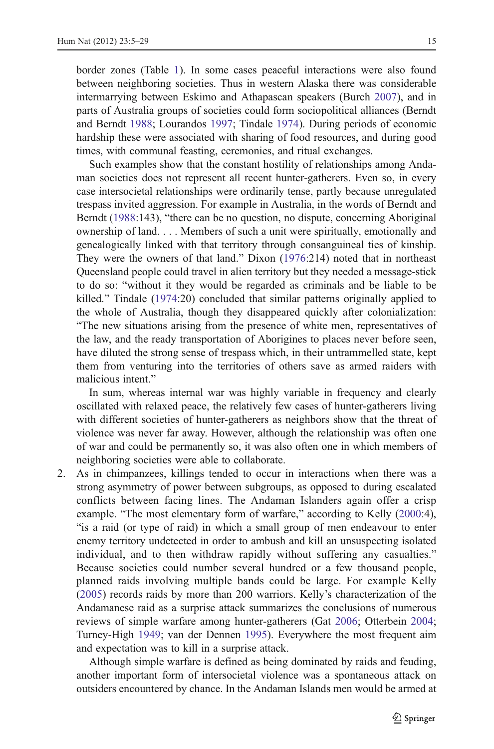border zones (Table [1\)](#page-8-0). In some cases peaceful interactions were also found between neighboring societies. Thus in western Alaska there was considerable intermarrying between Eskimo and Athapascan speakers (Burch [2007](#page-20-0)), and in parts of Australia groups of societies could form sociopolitical alliances (Berndt and Berndt [1988;](#page-20-0) Lourandos [1997](#page-22-0); Tindale [1974](#page-23-0)). During periods of economic hardship these were associated with sharing of food resources, and during good times, with communal feasting, ceremonies, and ritual exchanges.

Such examples show that the constant hostility of relationships among Andaman societies does not represent all recent hunter-gatherers. Even so, in every case intersocietal relationships were ordinarily tense, partly because unregulated trespass invited aggression. For example in Australia, in the words of Berndt and Berndt ([1988:](#page-20-0)143), "there can be no question, no dispute, concerning Aboriginal ownership of land. . . . Members of such a unit were spiritually, emotionally and genealogically linked with that territory through consanguineal ties of kinship. They were the owners of that land." Dixon [\(1976](#page-20-0):214) noted that in northeast Queensland people could travel in alien territory but they needed a message-stick to do so: "without it they would be regarded as criminals and be liable to be killed." Tindale ([1974:](#page-23-0)20) concluded that similar patterns originally applied to the whole of Australia, though they disappeared quickly after colonialization: "The new situations arising from the presence of white men, representatives of the law, and the ready transportation of Aborigines to places never before seen, have diluted the strong sense of trespass which, in their untrammelled state, kept them from venturing into the territories of others save as armed raiders with malicious intent."

In sum, whereas internal war was highly variable in frequency and clearly oscillated with relaxed peace, the relatively few cases of hunter-gatherers living with different societies of hunter-gatherers as neighbors show that the threat of violence was never far away. However, although the relationship was often one of war and could be permanently so, it was also often one in which members of neighboring societies were able to collaborate.

2. As in chimpanzees, killings tended to occur in interactions when there was a strong asymmetry of power between subgroups, as opposed to during escalated conflicts between facing lines. The Andaman Islanders again offer a crisp example. "The most elementary form of warfare," according to Kelly ([2000:](#page-22-0)4), "is a raid (or type of raid) in which a small group of men endeavour to enter enemy territory undetected in order to ambush and kill an unsuspecting isolated individual, and to then withdraw rapidly without suffering any casualties." Because societies could number several hundred or a few thousand people, planned raids involving multiple bands could be large. For example Kelly [\(2005](#page-22-0)) records raids by more than 200 warriors. Kelly's characterization of the Andamanese raid as a surprise attack summarizes the conclusions of numerous reviews of simple warfare among hunter-gatherers (Gat [2006](#page-21-0); Otterbein [2004;](#page-23-0) Turney-High [1949;](#page-23-0) van der Dennen [1995\)](#page-24-0). Everywhere the most frequent aim and expectation was to kill in a surprise attack.

Although simple warfare is defined as being dominated by raids and feuding, another important form of intersocietal violence was a spontaneous attack on outsiders encountered by chance. In the Andaman Islands men would be armed at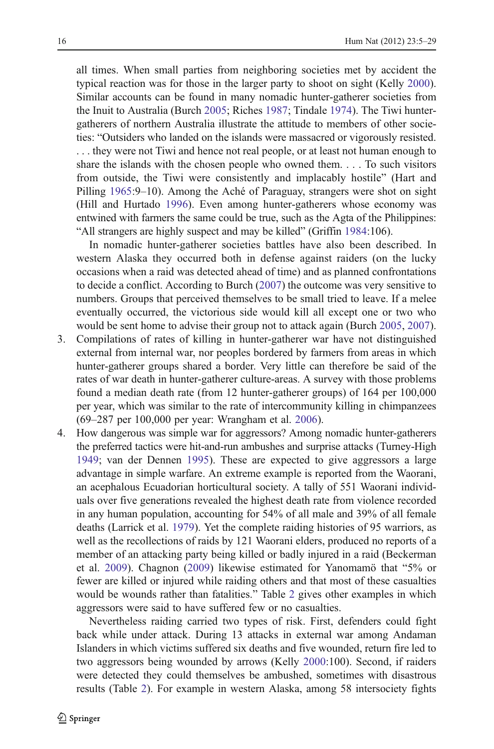all times. When small parties from neighboring societies met by accident the typical reaction was for those in the larger party to shoot on sight (Kelly [2000\)](#page-22-0). Similar accounts can be found in many nomadic hunter-gatherer societies from the Inuit to Australia (Burch [2005;](#page-20-0) Riches [1987](#page-23-0); Tindale [1974](#page-23-0)). The Tiwi huntergatherers of northern Australia illustrate the attitude to members of other societies: "Outsiders who landed on the islands were massacred or vigorously resisted. . . . they were not Tiwi and hence not real people, or at least not human enough to share the islands with the chosen people who owned them. . . . To such visitors from outside, the Tiwi were consistently and implacably hostile" (Hart and Pilling [1965](#page-21-0):9–10). Among the Aché of Paraguay, strangers were shot on sight (Hill and Hurtado [1996](#page-21-0)). Even among hunter-gatherers whose economy was entwined with farmers the same could be true, such as the Agta of the Philippines: "All strangers are highly suspect and may be killed" (Griffin [1984:](#page-21-0)106).

In nomadic hunter-gatherer societies battles have also been described. In western Alaska they occurred both in defense against raiders (on the lucky occasions when a raid was detected ahead of time) and as planned confrontations to decide a conflict. According to Burch ([2007\)](#page-20-0) the outcome was very sensitive to numbers. Groups that perceived themselves to be small tried to leave. If a melee eventually occurred, the victorious side would kill all except one or two who would be sent home to advise their group not to attack again (Burch [2005,](#page-20-0) [2007\)](#page-20-0).

- 3. Compilations of rates of killing in hunter-gatherer war have not distinguished external from internal war, nor peoples bordered by farmers from areas in which hunter-gatherer groups shared a border. Very little can therefore be said of the rates of war death in hunter-gatherer culture-areas. A survey with those problems found a median death rate (from 12 hunter-gatherer groups) of 164 per 100,000 per year, which was similar to the rate of intercommunity killing in chimpanzees (69–287 per 100,000 per year: Wrangham et al. [2006\)](#page-24-0).
- 4. How dangerous was simple war for aggressors? Among nomadic hunter-gatherers the preferred tactics were hit-and-run ambushes and surprise attacks (Turney-High [1949;](#page-23-0) van der Dennen [1995](#page-24-0)). These are expected to give aggressors a large advantage in simple warfare. An extreme example is reported from the Waorani, an acephalous Ecuadorian horticultural society. A tally of 551 Waorani individuals over five generations revealed the highest death rate from violence recorded in any human population, accounting for 54% of all male and 39% of all female deaths (Larrick et al. [1979](#page-22-0)). Yet the complete raiding histories of 95 warriors, as well as the recollections of raids by 121 Waorani elders, produced no reports of a member of an attacking party being killed or badly injured in a raid (Beckerman et al. [2009](#page-20-0)). Chagnon ([2009\)](#page-20-0) likewise estimated for Yanomamö that "5% or fewer are killed or injured while raiding others and that most of these casualties would be wounds rather than fatalities." Table [2](#page-12-0) gives other examples in which aggressors were said to have suffered few or no casualties.

Nevertheless raiding carried two types of risk. First, defenders could fight back while under attack. During 13 attacks in external war among Andaman Islanders in which victims suffered six deaths and five wounded, return fire led to two aggressors being wounded by arrows (Kelly [2000:](#page-22-0)100). Second, if raiders were detected they could themselves be ambushed, sometimes with disastrous results (Table [2\)](#page-12-0). For example in western Alaska, among 58 intersociety fights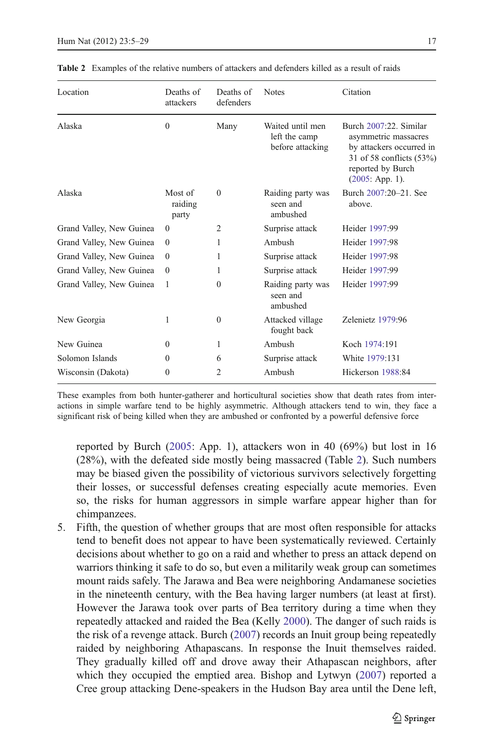| Location                 | Deaths of<br>attackers      | Deaths of<br>defenders | <b>Notes</b>                                          | Citation                                                                                                                                       |
|--------------------------|-----------------------------|------------------------|-------------------------------------------------------|------------------------------------------------------------------------------------------------------------------------------------------------|
| Alaska                   | $\theta$                    | Many                   | Waited until men<br>left the camp<br>before attacking | Burch 2007:22. Similar<br>asymmetric massacres<br>by attackers occurred in<br>31 of 58 conflicts (53%)<br>reported by Burch<br>(2005: App. 1). |
| Alaska                   | Most of<br>raiding<br>party | $\theta$               | Raiding party was<br>seen and<br>ambushed             | Burch 2007:20-21. See<br>above.                                                                                                                |
| Grand Valley, New Guinea | $\mathbf{0}$                | 2                      | Surprise attack                                       | Heider 1997:99                                                                                                                                 |
| Grand Valley, New Guinea | $\theta$                    | 1                      | Ambush                                                | Heider 1997.98                                                                                                                                 |
| Grand Valley, New Guinea | $\theta$                    | 1                      | Surprise attack                                       | Heider 1997:98                                                                                                                                 |
| Grand Valley, New Guinea | $\theta$                    | 1                      | Surprise attack                                       | Heider 1997:99                                                                                                                                 |
| Grand Valley, New Guinea | 1                           | $\theta$               | Raiding party was<br>seen and<br>ambushed             | Heider 1997:99                                                                                                                                 |
| New Georgia              | 1                           | $\Omega$               | Attacked village<br>fought back                       | Zelenietz 1979:96                                                                                                                              |
| New Guinea               | $\Omega$                    | 1                      | Ambush                                                | Koch 1974:191                                                                                                                                  |
| Solomon Islands          | $\Omega$                    | 6                      | Surprise attack                                       | White 1979:131                                                                                                                                 |
| Wisconsin (Dakota)       | $\theta$                    | $\overline{c}$         | Ambush                                                | Hickerson 1988:84                                                                                                                              |

<span id="page-12-0"></span>Table 2 Examples of the relative numbers of attackers and defenders killed as a result of raids

These examples from both hunter-gatherer and horticultural societies show that death rates from interactions in simple warfare tend to be highly asymmetric. Although attackers tend to win, they face a significant risk of being killed when they are ambushed or confronted by a powerful defensive force

reported by Burch ([2005:](#page-20-0) App. 1), attackers won in 40 (69%) but lost in 16 (28%), with the defeated side mostly being massacred (Table 2). Such numbers may be biased given the possibility of victorious survivors selectively forgetting their losses, or successful defenses creating especially acute memories. Even so, the risks for human aggressors in simple warfare appear higher than for chimpanzees.

5. Fifth, the question of whether groups that are most often responsible for attacks tend to benefit does not appear to have been systematically reviewed. Certainly decisions about whether to go on a raid and whether to press an attack depend on warriors thinking it safe to do so, but even a militarily weak group can sometimes mount raids safely. The Jarawa and Bea were neighboring Andamanese societies in the nineteenth century, with the Bea having larger numbers (at least at first). However the Jarawa took over parts of Bea territory during a time when they repeatedly attacked and raided the Bea (Kelly [2000](#page-22-0)). The danger of such raids is the risk of a revenge attack. Burch [\(2007](#page-20-0)) records an Inuit group being repeatedly raided by neighboring Athapascans. In response the Inuit themselves raided. They gradually killed off and drove away their Athapascan neighbors, after which they occupied the emptied area. Bishop and Lytwyn ([2007\)](#page-20-0) reported a Cree group attacking Dene-speakers in the Hudson Bay area until the Dene left,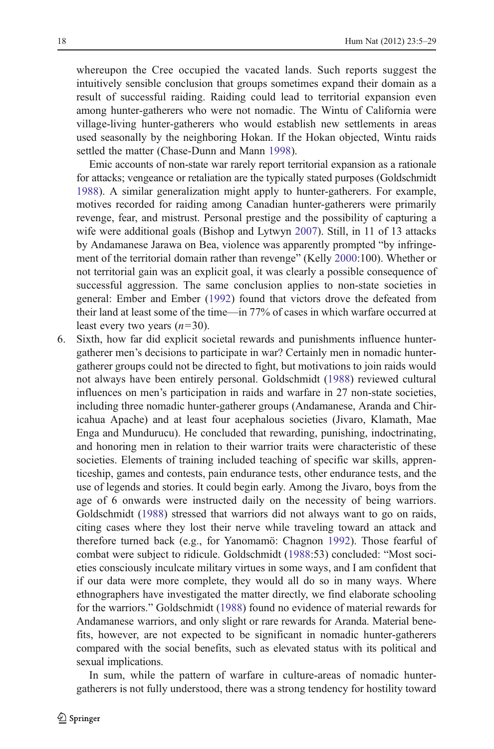whereupon the Cree occupied the vacated lands. Such reports suggest the intuitively sensible conclusion that groups sometimes expand their domain as a result of successful raiding. Raiding could lead to territorial expansion even among hunter-gatherers who were not nomadic. The Wintu of California were village-living hunter-gatherers who would establish new settlements in areas used seasonally by the neighboring Hokan. If the Hokan objected, Wintu raids settled the matter (Chase-Dunn and Mann [1998](#page-20-0)).

Emic accounts of non-state war rarely report territorial expansion as a rationale for attacks; vengeance or retaliation are the typically stated purposes (Goldschmidt [1988\)](#page-21-0). A similar generalization might apply to hunter-gatherers. For example, motives recorded for raiding among Canadian hunter-gatherers were primarily revenge, fear, and mistrust. Personal prestige and the possibility of capturing a wife were additional goals (Bishop and Lytwyn [2007\)](#page-20-0). Still, in 11 of 13 attacks by Andamanese Jarawa on Bea, violence was apparently prompted "by infringement of the territorial domain rather than revenge" (Kelly [2000:](#page-22-0)100). Whether or not territorial gain was an explicit goal, it was clearly a possible consequence of successful aggression. The same conclusion applies to non-state societies in general: Ember and Ember ([1992\)](#page-21-0) found that victors drove the defeated from their land at least some of the time—in 77% of cases in which warfare occurred at least every two years  $(n=30)$ .

6. Sixth, how far did explicit societal rewards and punishments influence huntergatherer men's decisions to participate in war? Certainly men in nomadic huntergatherer groups could not be directed to fight, but motivations to join raids would not always have been entirely personal. Goldschmidt ([1988\)](#page-21-0) reviewed cultural influences on men's participation in raids and warfare in 27 non-state societies, including three nomadic hunter-gatherer groups (Andamanese, Aranda and Chiricahua Apache) and at least four acephalous societies (Jivaro, Klamath, Mae Enga and Mundurucu). He concluded that rewarding, punishing, indoctrinating, and honoring men in relation to their warrior traits were characteristic of these societies. Elements of training included teaching of specific war skills, apprenticeship, games and contests, pain endurance tests, other endurance tests, and the use of legends and stories. It could begin early. Among the Jivaro, boys from the age of 6 onwards were instructed daily on the necessity of being warriors. Goldschmidt ([1988\)](#page-21-0) stressed that warriors did not always want to go on raids, citing cases where they lost their nerve while traveling toward an attack and therefore turned back (e.g., for Yanomamö: Chagnon [1992\)](#page-20-0). Those fearful of combat were subject to ridicule. Goldschmidt [\(1988](#page-21-0):53) concluded: "Most societies consciously inculcate military virtues in some ways, and I am confident that if our data were more complete, they would all do so in many ways. Where ethnographers have investigated the matter directly, we find elaborate schooling for the warriors." Goldschmidt ([1988\)](#page-21-0) found no evidence of material rewards for Andamanese warriors, and only slight or rare rewards for Aranda. Material benefits, however, are not expected to be significant in nomadic hunter-gatherers compared with the social benefits, such as elevated status with its political and sexual implications.

In sum, while the pattern of warfare in culture-areas of nomadic huntergatherers is not fully understood, there was a strong tendency for hostility toward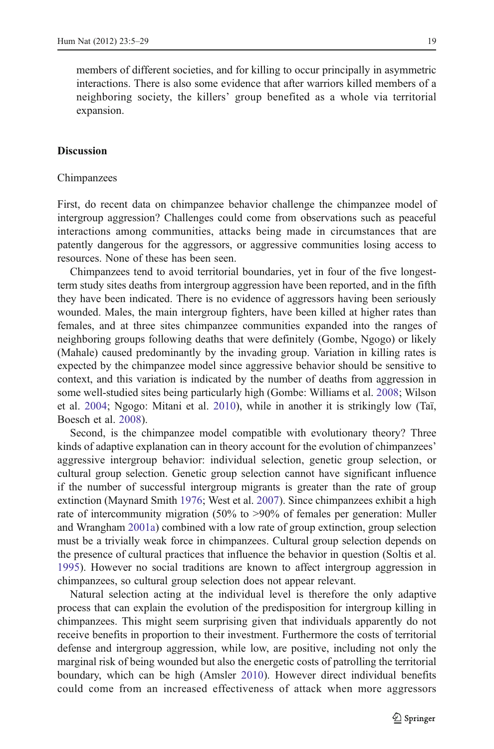## **Discussion**

#### Chimpanzees

First, do recent data on chimpanzee behavior challenge the chimpanzee model of intergroup aggression? Challenges could come from observations such as peaceful interactions among communities, attacks being made in circumstances that are patently dangerous for the aggressors, or aggressive communities losing access to resources. None of these has been seen.

Chimpanzees tend to avoid territorial boundaries, yet in four of the five longestterm study sites deaths from intergroup aggression have been reported, and in the fifth they have been indicated. There is no evidence of aggressors having been seriously wounded. Males, the main intergroup fighters, have been killed at higher rates than females, and at three sites chimpanzee communities expanded into the ranges of neighboring groups following deaths that were definitely (Gombe, Ngogo) or likely (Mahale) caused predominantly by the invading group. Variation in killing rates is expected by the chimpanzee model since aggressive behavior should be sensitive to context, and this variation is indicated by the number of deaths from aggression in some well-studied sites being particularly high (Gombe: Williams et al. [2008;](#page-24-0) Wilson et al. [2004](#page-24-0); Ngogo: Mitani et al. [2010\)](#page-22-0), while in another it is strikingly low (Taï, Boesch et al. [2008\)](#page-20-0).

Second, is the chimpanzee model compatible with evolutionary theory? Three kinds of adaptive explanation can in theory account for the evolution of chimpanzees' aggressive intergroup behavior: individual selection, genetic group selection, or cultural group selection. Genetic group selection cannot have significant influence if the number of successful intergroup migrants is greater than the rate of group extinction (Maynard Smith [1976](#page-22-0); West et al. [2007](#page-24-0)). Since chimpanzees exhibit a high rate of intercommunity migration (50% to >90% of females per generation: Muller and Wrangham [2001a](#page-23-0)) combined with a low rate of group extinction, group selection must be a trivially weak force in chimpanzees. Cultural group selection depends on the presence of cultural practices that influence the behavior in question (Soltis et al. [1995\)](#page-23-0). However no social traditions are known to affect intergroup aggression in chimpanzees, so cultural group selection does not appear relevant.

Natural selection acting at the individual level is therefore the only adaptive process that can explain the evolution of the predisposition for intergroup killing in chimpanzees. This might seem surprising given that individuals apparently do not receive benefits in proportion to their investment. Furthermore the costs of territorial defense and intergroup aggression, while low, are positive, including not only the marginal risk of being wounded but also the energetic costs of patrolling the territorial boundary, which can be high (Amsler [2010\)](#page-20-0). However direct individual benefits could come from an increased effectiveness of attack when more aggressors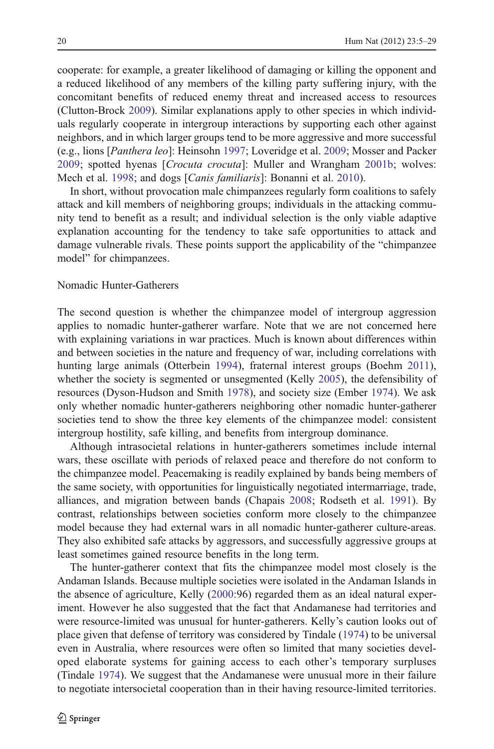cooperate: for example, a greater likelihood of damaging or killing the opponent and a reduced likelihood of any members of the killing party suffering injury, with the concomitant benefits of reduced enemy threat and increased access to resources (Clutton-Brock [2009](#page-20-0)). Similar explanations apply to other species in which individuals regularly cooperate in intergroup interactions by supporting each other against neighbors, and in which larger groups tend to be more aggressive and more successful (e.g., lions [Panthera leo]: Heinsohn [1997;](#page-21-0) Loveridge et al. [2009](#page-22-0); Mosser and Packer [2009](#page-23-0); spotted hyenas [*Crocuta crocuta*]: Muller and Wrangham [2001b;](#page-23-0) wolves: Mech et al. [1998](#page-22-0); and dogs [*Canis familiaris*]: Bonanni et al. [2010\)](#page-20-0).

In short, without provocation male chimpanzees regularly form coalitions to safely attack and kill members of neighboring groups; individuals in the attacking community tend to benefit as a result; and individual selection is the only viable adaptive explanation accounting for the tendency to take safe opportunities to attack and damage vulnerable rivals. These points support the applicability of the "chimpanzee model" for chimpanzees.

#### Nomadic Hunter-Gatherers

The second question is whether the chimpanzee model of intergroup aggression applies to nomadic hunter-gatherer warfare. Note that we are not concerned here with explaining variations in war practices. Much is known about differences within and between societies in the nature and frequency of war, including correlations with hunting large animals (Otterbein [1994\)](#page-23-0), fraternal interest groups (Boehm [2011\)](#page-20-0), whether the society is segmented or unsegmented (Kelly [2005](#page-22-0)), the defensibility of resources (Dyson-Hudson and Smith [1978\)](#page-20-0), and society size (Ember [1974](#page-21-0)). We ask only whether nomadic hunter-gatherers neighboring other nomadic hunter-gatherer societies tend to show the three key elements of the chimpanzee model: consistent intergroup hostility, safe killing, and benefits from intergroup dominance.

Although intrasocietal relations in hunter-gatherers sometimes include internal wars, these oscillate with periods of relaxed peace and therefore do not conform to the chimpanzee model. Peacemaking is readily explained by bands being members of the same society, with opportunities for linguistically negotiated intermarriage, trade, alliances, and migration between bands (Chapais [2008;](#page-20-0) Rodseth et al. [1991\)](#page-23-0). By contrast, relationships between societies conform more closely to the chimpanzee model because they had external wars in all nomadic hunter-gatherer culture-areas. They also exhibited safe attacks by aggressors, and successfully aggressive groups at least sometimes gained resource benefits in the long term.

The hunter-gatherer context that fits the chimpanzee model most closely is the Andaman Islands. Because multiple societies were isolated in the Andaman Islands in the absence of agriculture, Kelly ([2000:](#page-22-0)96) regarded them as an ideal natural experiment. However he also suggested that the fact that Andamanese had territories and were resource-limited was unusual for hunter-gatherers. Kelly's caution looks out of place given that defense of territory was considered by Tindale ([1974\)](#page-23-0) to be universal even in Australia, where resources were often so limited that many societies developed elaborate systems for gaining access to each other's temporary surpluses (Tindale [1974](#page-23-0)). We suggest that the Andamanese were unusual more in their failure to negotiate intersocietal cooperation than in their having resource-limited territories.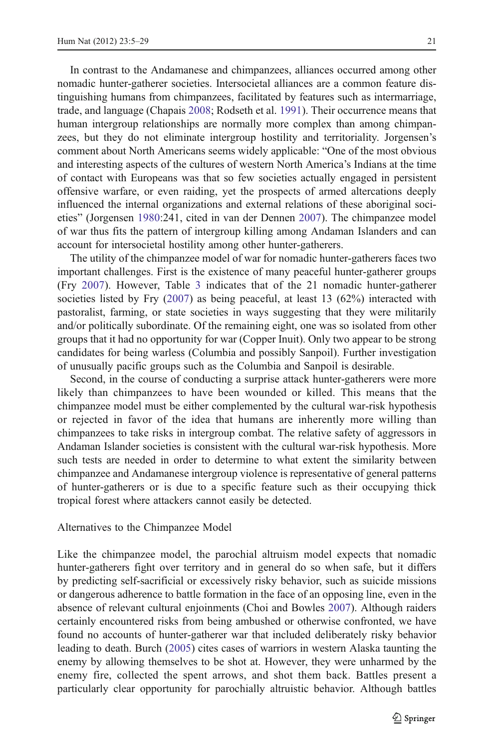In contrast to the Andamanese and chimpanzees, alliances occurred among other nomadic hunter-gatherer societies. Intersocietal alliances are a common feature distinguishing humans from chimpanzees, facilitated by features such as intermarriage, trade, and language (Chapais [2008;](#page-20-0) Rodseth et al. [1991\)](#page-23-0). Their occurrence means that human intergroup relationships are normally more complex than among chimpanzees, but they do not eliminate intergroup hostility and territoriality. Jorgensen's comment about North Americans seems widely applicable: "One of the most obvious and interesting aspects of the cultures of western North America's Indians at the time of contact with Europeans was that so few societies actually engaged in persistent offensive warfare, or even raiding, yet the prospects of armed altercations deeply influenced the internal organizations and external relations of these aboriginal societies" (Jorgensen [1980](#page-22-0):241, cited in van der Dennen [2007\)](#page-24-0). The chimpanzee model of war thus fits the pattern of intergroup killing among Andaman Islanders and can account for intersocietal hostility among other hunter-gatherers.

The utility of the chimpanzee model of war for nomadic hunter-gatherers faces two important challenges. First is the existence of many peaceful hunter-gatherer groups (Fry [2007](#page-21-0)). However, Table [3](#page-17-0) indicates that of the 21 nomadic hunter-gatherer societies listed by Fry [\(2007](#page-21-0)) as being peaceful, at least 13 (62%) interacted with pastoralist, farming, or state societies in ways suggesting that they were militarily and/or politically subordinate. Of the remaining eight, one was so isolated from other groups that it had no opportunity for war (Copper Inuit). Only two appear to be strong candidates for being warless (Columbia and possibly Sanpoil). Further investigation of unusually pacific groups such as the Columbia and Sanpoil is desirable.

Second, in the course of conducting a surprise attack hunter-gatherers were more likely than chimpanzees to have been wounded or killed. This means that the chimpanzee model must be either complemented by the cultural war-risk hypothesis or rejected in favor of the idea that humans are inherently more willing than chimpanzees to take risks in intergroup combat. The relative safety of aggressors in Andaman Islander societies is consistent with the cultural war-risk hypothesis. More such tests are needed in order to determine to what extent the similarity between chimpanzee and Andamanese intergroup violence is representative of general patterns of hunter-gatherers or is due to a specific feature such as their occupying thick tropical forest where attackers cannot easily be detected.

## Alternatives to the Chimpanzee Model

Like the chimpanzee model, the parochial altruism model expects that nomadic hunter-gatherers fight over territory and in general do so when safe, but it differs by predicting self-sacrificial or excessively risky behavior, such as suicide missions or dangerous adherence to battle formation in the face of an opposing line, even in the absence of relevant cultural enjoinments (Choi and Bowles [2007](#page-20-0)). Although raiders certainly encountered risks from being ambushed or otherwise confronted, we have found no accounts of hunter-gatherer war that included deliberately risky behavior leading to death. Burch [\(2005](#page-20-0)) cites cases of warriors in western Alaska taunting the enemy by allowing themselves to be shot at. However, they were unharmed by the enemy fire, collected the spent arrows, and shot them back. Battles present a particularly clear opportunity for parochially altruistic behavior. Although battles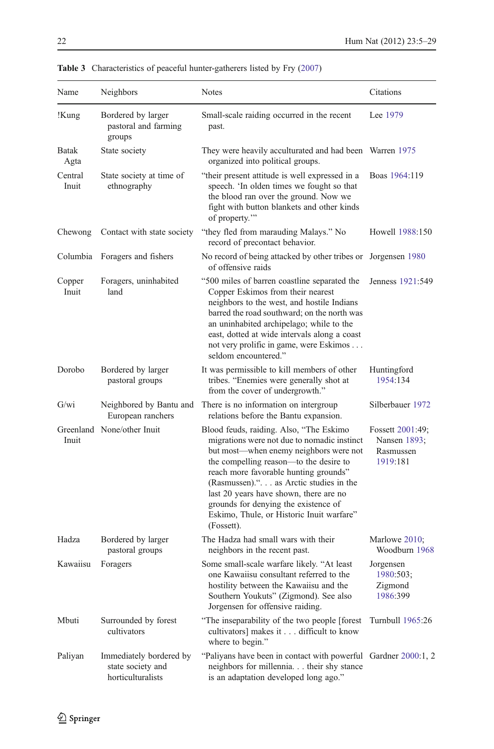| Name             | Neighbors                                                         | <b>Notes</b>                                                                                                                                                                                                                                                                                                                                                                                                | Citations                                                 |
|------------------|-------------------------------------------------------------------|-------------------------------------------------------------------------------------------------------------------------------------------------------------------------------------------------------------------------------------------------------------------------------------------------------------------------------------------------------------------------------------------------------------|-----------------------------------------------------------|
| !Kung            | Bordered by larger<br>pastoral and farming<br>groups              | Small-scale raiding occurred in the recent<br>past.                                                                                                                                                                                                                                                                                                                                                         | Lee 1979                                                  |
| Batak<br>Agta    | State society                                                     | They were heavily acculturated and had been Warren 1975<br>organized into political groups.                                                                                                                                                                                                                                                                                                                 |                                                           |
| Central<br>Inuit | State society at time of<br>ethnography                           | "their present attitude is well expressed in a<br>speech. 'In olden times we fought so that<br>the blood ran over the ground. Now we<br>fight with button blankets and other kinds<br>of property."                                                                                                                                                                                                         | Boas 1964:119                                             |
| Chewong          | Contact with state society                                        | "they fled from marauding Malays." No<br>record of precontact behavior.                                                                                                                                                                                                                                                                                                                                     | Howell 1988:150                                           |
| Columbia         | Foragers and fishers                                              | No record of being attacked by other tribes or Jorgensen 1980<br>of offensive raids                                                                                                                                                                                                                                                                                                                         |                                                           |
| Copper<br>Inuit  | Foragers, uninhabited<br>land                                     | "500 miles of barren coastline separated the<br>Copper Eskimos from their nearest<br>neighbors to the west, and hostile Indians<br>barred the road southward; on the north was<br>an uninhabited archipelago; while to the<br>east, dotted at wide intervals along a coast<br>not very prolific in game, were Eskimos<br>seldom encountered."                                                               | Jenness 1921:549                                          |
| Dorobo           | Bordered by larger<br>pastoral groups                             | It was permissible to kill members of other<br>tribes. "Enemies were generally shot at<br>from the cover of undergrowth."                                                                                                                                                                                                                                                                                   | Huntingford<br>1954:134                                   |
| G(w)             | Neighbored by Bantu and<br>European ranchers                      | There is no information on intergroup<br>relations before the Bantu expansion.                                                                                                                                                                                                                                                                                                                              | Silberbauer 1972                                          |
| Inuit            | Greenland None/other Inuit                                        | Blood feuds, raiding. Also, "The Eskimo<br>migrations were not due to nomadic instinct<br>but most—when enemy neighbors were not<br>the compelling reason—to the desire to<br>reach more favorable hunting grounds"<br>(Rasmussen).". as Arctic studies in the<br>last 20 years have shown, there are no<br>grounds for denying the existence of<br>Eskimo, Thule, or Historic Inuit warfare"<br>(Fossett). | Fossett 2001:49;<br>Nansen 1893:<br>Rasmussen<br>1919:181 |
| Hadza            | Bordered by larger<br>pastoral groups                             | The Hadza had small wars with their<br>neighbors in the recent past.                                                                                                                                                                                                                                                                                                                                        | Marlowe 2010;<br>Woodburn 1968                            |
| Kawaiisu         | Foragers                                                          | Some small-scale warfare likely. "At least<br>one Kawaiisu consultant referred to the<br>hostility between the Kawaiisu and the<br>Southern Youkuts" (Zigmond). See also<br>Jorgensen for offensive raiding.                                                                                                                                                                                                | Jorgensen<br>1980:503;<br>Zigmond<br>1986:399             |
| Mbuti            | Surrounded by forest<br>cultivators                               | "The inseparability of the two people [forest]<br>cultivators] makes it difficult to know<br>where to begin."                                                                                                                                                                                                                                                                                               | Turnbull 1965:26                                          |
| Paliyan          | Immediately bordered by<br>state society and<br>horticulturalists | "Paliyans have been in contact with powerful Gardner 2000:1, 2<br>neighbors for millennia. their shy stance<br>is an adaptation developed long ago."                                                                                                                                                                                                                                                        |                                                           |

<span id="page-17-0"></span>Table 3 Characteristics of peaceful hunter-gatherers listed by Fry ([2007\)](#page-21-0)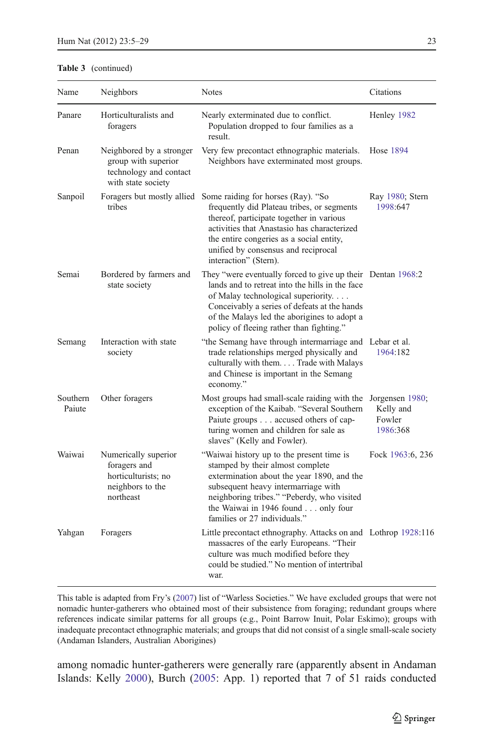|  | Table 3 (continued) |
|--|---------------------|
|--|---------------------|

| Name               | Neighbors                                                                                       | <b>Notes</b>                                                                                                                                                                                                                                                                                     | Citations                                          |
|--------------------|-------------------------------------------------------------------------------------------------|--------------------------------------------------------------------------------------------------------------------------------------------------------------------------------------------------------------------------------------------------------------------------------------------------|----------------------------------------------------|
| Panare             | Horticulturalists and<br>foragers                                                               | Nearly exterminated due to conflict.<br>Population dropped to four families as a<br>result.                                                                                                                                                                                                      | Henley 1982                                        |
| Penan              | Neighbored by a stronger<br>group with superior<br>technology and contact<br>with state society | Very few precontact ethnographic materials.<br>Neighbors have exterminated most groups.                                                                                                                                                                                                          | <b>Hose 1894</b>                                   |
| Sanpoil            | Foragers but mostly allied<br>tribes                                                            | Some raiding for horses (Ray). "So<br>frequently did Plateau tribes, or segments<br>thereof, participate together in various<br>activities that Anastasio has characterized<br>the entire congeries as a social entity,<br>unified by consensus and reciprocal<br>interaction" (Stern).          | Ray 1980; Stern<br>1998:647                        |
| Semai              | Bordered by farmers and<br>state society                                                        | They "were eventually forced to give up their Dentan 1968:2<br>lands and to retreat into the hills in the face<br>of Malay technological superiority.<br>Conceivably a series of defeats at the hands<br>of the Malays led the aborigines to adopt a<br>policy of fleeing rather than fighting." |                                                    |
| Semang             | Interaction with state<br>society                                                               | "the Semang have through intermarriage and Lebar et al.<br>trade relationships merged physically and<br>culturally with them Trade with Malays<br>and Chinese is important in the Semang<br>economy."                                                                                            | 1964:182                                           |
| Southern<br>Paiute | Other foragers                                                                                  | Most groups had small-scale raiding with the<br>exception of the Kaibab. "Several Southern<br>Paiute groups accused others of cap-<br>turing women and children for sale as<br>slaves" (Kelly and Fowler).                                                                                       | Jorgensen 1980;<br>Kelly and<br>Fowler<br>1986:368 |
| Waiwai             | Numerically superior<br>foragers and<br>horticulturists; no<br>neighbors to the<br>northeast    | "Waiwai history up to the present time is<br>stamped by their almost complete<br>extermination about the year 1890, and the<br>subsequent heavy intermarriage with<br>neighboring tribes." "Peberdy, who visited<br>the Waiwai in 1946 found only four<br>families or 27 individuals."           | Fock 1963:6, 236                                   |
| Yahgan             | Foragers                                                                                        | Little precontact ethnography. Attacks on and Lothrop 1928:116<br>massacres of the early Europeans. "Their<br>culture was much modified before they<br>could be studied." No mention of intertribal<br>war.                                                                                      |                                                    |

This table is adapted from Fry's [\(2007](#page-21-0)) list of "Warless Societies." We have excluded groups that were not nomadic hunter-gatherers who obtained most of their subsistence from foraging; redundant groups where references indicate similar patterns for all groups (e.g., Point Barrow Inuit, Polar Eskimo); groups with inadequate precontact ethnographic materials; and groups that did not consist of a single small-scale society (Andaman Islanders, Australian Aborigines)

among nomadic hunter-gatherers were generally rare (apparently absent in Andaman Islands: Kelly [2000](#page-22-0)), Burch [\(2005](#page-20-0): App. 1) reported that 7 of 51 raids conducted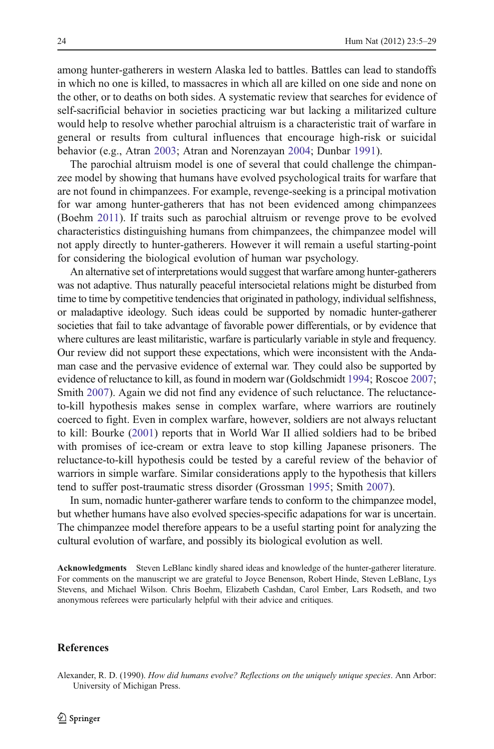<span id="page-19-0"></span>among hunter-gatherers in western Alaska led to battles. Battles can lead to standoffs in which no one is killed, to massacres in which all are killed on one side and none on the other, or to deaths on both sides. A systematic review that searches for evidence of self-sacrificial behavior in societies practicing war but lacking a militarized culture would help to resolve whether parochial altruism is a characteristic trait of warfare in general or results from cultural influences that encourage high-risk or suicidal behavior (e.g., Atran [2003](#page-20-0); Atran and Norenzayan [2004](#page-20-0); Dunbar [1991\)](#page-20-0).

The parochial altruism model is one of several that could challenge the chimpanzee model by showing that humans have evolved psychological traits for warfare that are not found in chimpanzees. For example, revenge-seeking is a principal motivation for war among hunter-gatherers that has not been evidenced among chimpanzees (Boehm [2011](#page-20-0)). If traits such as parochial altruism or revenge prove to be evolved characteristics distinguishing humans from chimpanzees, the chimpanzee model will not apply directly to hunter-gatherers. However it will remain a useful starting-point for considering the biological evolution of human war psychology.

An alternative set of interpretations would suggest that warfare among hunter-gatherers was not adaptive. Thus naturally peaceful intersocietal relations might be disturbed from time to time by competitive tendencies that originated in pathology, individual selfishness, or maladaptive ideology. Such ideas could be supported by nomadic hunter-gatherer societies that fail to take advantage of favorable power differentials, or by evidence that where cultures are least militaristic, warfare is particularly variable in style and frequency. Our review did not support these expectations, which were inconsistent with the Andaman case and the pervasive evidence of external war. They could also be supported by evidence of reluctance to kill, as found in modern war (Goldschmidt [1994](#page-21-0); Roscoe [2007;](#page-23-0) Smith [2007](#page-23-0)). Again we did not find any evidence of such reluctance. The reluctanceto-kill hypothesis makes sense in complex warfare, where warriors are routinely coerced to fight. Even in complex warfare, however, soldiers are not always reluctant to kill: Bourke [\(2001](#page-20-0)) reports that in World War II allied soldiers had to be bribed with promises of ice-cream or extra leave to stop killing Japanese prisoners. The reluctance-to-kill hypothesis could be tested by a careful review of the behavior of warriors in simple warfare. Similar considerations apply to the hypothesis that killers tend to suffer post-traumatic stress disorder (Grossman [1995;](#page-21-0) Smith [2007](#page-23-0)).

In sum, nomadic hunter-gatherer warfare tends to conform to the chimpanzee model, but whether humans have also evolved species-specific adapations for war is uncertain. The chimpanzee model therefore appears to be a useful starting point for analyzing the cultural evolution of warfare, and possibly its biological evolution as well.

Acknowledgments Steven LeBlanc kindly shared ideas and knowledge of the hunter-gatherer literature. For comments on the manuscript we are grateful to Joyce Benenson, Robert Hinde, Steven LeBlanc, Lys Stevens, and Michael Wilson. Chris Boehm, Elizabeth Cashdan, Carol Ember, Lars Rodseth, and two anonymous referees were particularly helpful with their advice and critiques.

#### References

Alexander, R. D. (1990). How did humans evolve? Reflections on the uniquely unique species. Ann Arbor: University of Michigan Press.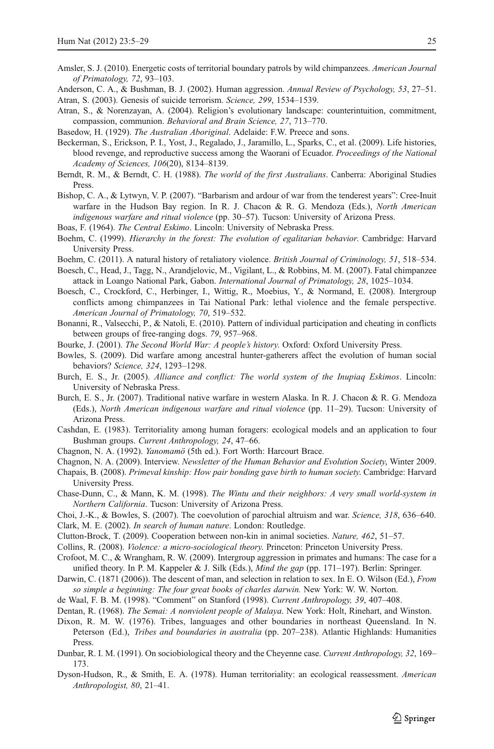- <span id="page-20-0"></span>Amsler, S. J. (2010). Energetic costs of territorial boundary patrols by wild chimpanzees. American Journal of Primatology, 72, 93–103.
- Anderson, C. A., & Bushman, B. J. (2002). Human aggression. Annual Review of Psychology, 53, 27–51.
- Atran, S. (2003). Genesis of suicide terrorism. Science, 299, 1534–1539.
- Atran, S., & Norenzayan, A. (2004). Religion's evolutionary landscape: counterintuition, commitment, compassion, communion. Behavioral and Brain Science, 27, 713–770.
- Basedow, H. (1929). The Australian Aboriginal. Adelaide: F.W. Preece and sons.
- Beckerman, S., Erickson, P. I., Yost, J., Regalado, J., Jaramillo, L., Sparks, C., et al. (2009). Life histories, blood revenge, and reproductive success among the Waorani of Ecuador. Proceedings of the National Academy of Sciences, 106(20), 8134–8139.
- Berndt, R. M., & Berndt, C. H. (1988). The world of the first Australians. Canberra: Aboriginal Studies Press.
- Bishop, C. A., & Lytwyn, V. P. (2007). "Barbarism and ardour of war from the tenderest years": Cree-Inuit warfare in the Hudson Bay region. In R. J. Chacon & R. G. Mendoza (Eds.), North American indigenous warfare and ritual violence (pp. 30–57). Tucson: University of Arizona Press.
- Boas, F. (1964). The Central Eskimo. Lincoln: University of Nebraska Press.
- Boehm, C. (1999). Hierarchy in the forest: The evolution of egalitarian behavior. Cambridge: Harvard University Press.
- Boehm, C. (2011). A natural history of retaliatory violence. British Journal of Criminology, 51, 518–534.
- Boesch, C., Head, J., Tagg, N., Arandjelovic, M., Vigilant, L., & Robbins, M. M. (2007). Fatal chimpanzee attack in Loango National Park, Gabon. International Journal of Primatology, 28, 1025–1034.
- Boesch, C., Crockford, C., Herbinger, I., Wittig, R., Moebius, Y., & Normand, E. (2008). Intergroup conflicts among chimpanzees in Tai National Park: lethal violence and the female perspective. American Journal of Primatology, 70, 519–532.
- Bonanni, R., Valsecchi, P., & Natoli, E. (2010). Pattern of individual participation and cheating in conflicts between groups of free-ranging dogs. 79, 957–968.
- Bourke, J. (2001). The Second World War: A people's history. Oxford: Oxford University Press.
- Bowles, S. (2009). Did warfare among ancestral hunter-gatherers affect the evolution of human social behaviors? Science, 324, 1293–1298.
- Burch, E. S., Jr. (2005). Alliance and conflict: The world system of the Inupiaq Eskimos. Lincoln: University of Nebraska Press.
- Burch, E. S., Jr. (2007). Traditional native warfare in western Alaska. In R. J. Chacon & R. G. Mendoza (Eds.), North American indigenous warfare and ritual violence (pp. 11–29). Tucson: University of Arizona Press.
- Cashdan, E. (1983). Territoriality among human foragers: ecological models and an application to four Bushman groups. Current Anthropology, 24, 47–66.
- Chagnon, N. A. (1992). Yanomamö (5th ed.). Fort Worth: Harcourt Brace.
- Chagnon, N. A. (2009). Interview. Newsletter of the Human Behavior and Evolution Society, Winter 2009.
- Chapais, B. (2008). Primeval kinship: How pair bonding gave birth to human society. Cambridge: Harvard University Press.
- Chase-Dunn, C., & Mann, K. M. (1998). The Wintu and their neighbors: A very small world-system in Northern California. Tucson: University of Arizona Press.
- Choi, J.-K., & Bowles, S. (2007). The coevolution of parochial altruism and war. Science, 318, 636–640.
- Clark, M. E. (2002). In search of human nature. London: Routledge.
- Clutton-Brock, T. (2009). Cooperation between non-kin in animal societies. Nature, 462, 51–57.
- Collins, R. (2008). Violence: a micro-sociological theory. Princeton: Princeton University Press.

Crofoot, M. C., & Wrangham, R. W. (2009). Intergroup aggression in primates and humans: The case for a unified theory. In P. M. Kappeler & J. Silk (Eds.), *Mind the gap* (pp. 171–197). Berlin: Springer.

- Darwin, C. (1871 (2006)). The descent of man, and selection in relation to sex. In E. O. Wilson (Ed.), From so simple a beginning: The four great books of charles darwin. New York: W. W. Norton.
- de Waal, F. B. M. (1998). "Comment" on Stanford (1998). Current Anthropology, 39, 407–408.
- Dentan, R. (1968). The Semai: A nonviolent people of Malaya. New York: Holt, Rinehart, and Winston.
- Dixon, R. M. W. (1976). Tribes, languages and other boundaries in northeast Queensland. In N. Peterson (Ed.), Tribes and boundaries in australia (pp. 207–238). Atlantic Highlands: Humanities Press.
- Dunbar, R. I. M. (1991). On sociobiological theory and the Cheyenne case. Current Anthropology, 32, 169– 173.
- Dyson-Hudson, R., & Smith, E. A. (1978). Human territoriality: an ecological reassessment. American Anthropologist, 80, 21–41.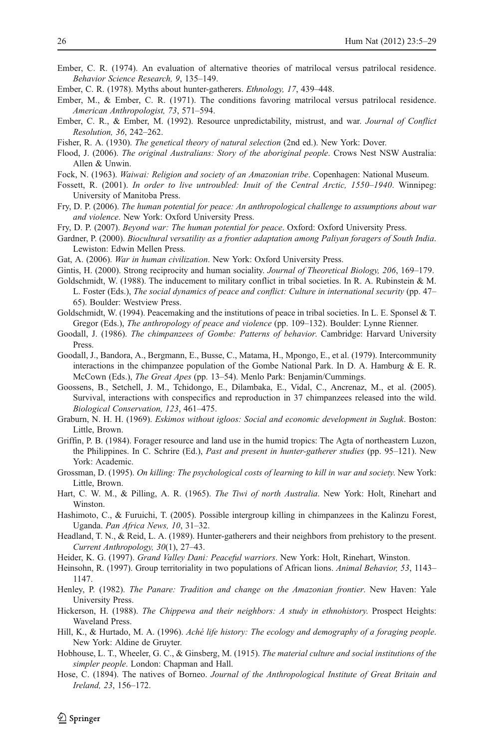- <span id="page-21-0"></span>Ember, C. R. (1974). An evaluation of alternative theories of matrilocal versus patrilocal residence. Behavior Science Research, 9, 135–149.
- Ember, C. R. (1978). Myths about hunter-gatherers. Ethnology, 17, 439–448.
- Ember, M., & Ember, C. R. (1971). The conditions favoring matrilocal versus patrilocal residence. American Anthropologist, 73, 571–594.
- Ember, C. R., & Ember, M. (1992). Resource unpredictability, mistrust, and war. Journal of Conflict Resolution, 36, 242–262.
- Fisher, R. A. (1930). The genetical theory of natural selection (2nd ed.). New York: Dover.
- Flood, J. (2006). The original Australians: Story of the aboriginal people. Crows Nest NSW Australia: Allen & Unwin.
- Fock, N. (1963). Waiwai: Religion and society of an Amazonian tribe. Copenhagen: National Museum.
- Fossett, R. (2001). In order to live untroubled: Inuit of the Central Arctic, 1550–1940. Winnipeg: University of Manitoba Press.
- Fry, D. P. (2006). The human potential for peace: An anthropological challenge to assumptions about war and violence. New York: Oxford University Press.
- Fry, D. P. (2007). Beyond war: The human potential for peace. Oxford: Oxford University Press.
- Gardner, P. (2000). Biocultural versatility as a frontier adaptation among Paliyan foragers of South India. Lewiston: Edwin Mellen Press.
- Gat, A. (2006). War in human civilization. New York: Oxford University Press.
- Gintis, H. (2000). Strong reciprocity and human sociality. Journal of Theoretical Biology, 206, 169–179.
- Goldschmidt, W. (1988). The inducement to military conflict in tribal societies. In R. A. Rubinstein & M. L. Foster (Eds.), The social dynamics of peace and conflict: Culture in international security (pp. 47– 65). Boulder: Westview Press.
- Goldschmidt, W. (1994). Peacemaking and the institutions of peace in tribal societies. In L. E. Sponsel & T. Gregor (Eds.), The anthropology of peace and violence (pp. 109–132). Boulder: Lynne Rienner.
- Goodall, J. (1986). The chimpanzees of Gombe: Patterns of behavior. Cambridge: Harvard University Press.
- Goodall, J., Bandora, A., Bergmann, E., Busse, C., Matama, H., Mpongo, E., et al. (1979). Intercommunity interactions in the chimpanzee population of the Gombe National Park. In D. A. Hamburg & E. R. McCown (Eds.), The Great Apes (pp. 13–54). Menlo Park: Benjamin/Cummings.
- Goossens, B., Setchell, J. M., Tchidongo, E., Dilambaka, E., Vidal, C., Ancrenaz, M., et al. (2005). Survival, interactions with conspecifics and reproduction in 37 chimpanzees released into the wild. Biological Conservation, 123, 461–475.
- Graburn, N. H. H. (1969). Eskimos without igloos: Social and economic development in Sugluk. Boston: Little, Brown.
- Griffin, P. B. (1984). Forager resource and land use in the humid tropics: The Agta of northeastern Luzon, the Philippines. In C. Schrire (Ed.), Past and present in hunter-gatherer studies (pp. 95–121). New York: Academic.
- Grossman, D. (1995). On killing: The psychological costs of learning to kill in war and society. New York: Little, Brown.
- Hart, C. W. M., & Pilling, A. R. (1965). The Tiwi of north Australia. New York: Holt, Rinehart and Winston.
- Hashimoto, C., & Furuichi, T. (2005). Possible intergroup killing in chimpanzees in the Kalinzu Forest, Uganda. Pan Africa News, 10, 31–32.
- Headland, T. N., & Reid, L. A. (1989). Hunter-gatherers and their neighbors from prehistory to the present. Current Anthropology, 30(1), 27–43.
- Heider, K. G. (1997). Grand Valley Dani: Peaceful warriors. New York: Holt, Rinehart, Winston.
- Heinsohn, R. (1997). Group territoriality in two populations of African lions. Animal Behavior, 53, 1143– 1147.
- Henley, P. (1982). The Panare: Tradition and change on the Amazonian frontier. New Haven: Yale University Press.
- Hickerson, H. (1988). The Chippewa and their neighbors: A study in ethnohistory. Prospect Heights: Waveland Press.
- Hill, K., & Hurtado, M. A. (1996). Aché life history: The ecology and demography of a foraging people. New York: Aldine de Gruyter.
- Hobhouse, L. T., Wheeler, G. C., & Ginsberg, M. (1915). The material culture and social institutions of the simpler people. London: Chapman and Hall.
- Hose, C. (1894). The natives of Borneo. Journal of the Anthropological Institute of Great Britain and Ireland, 23, 156–172.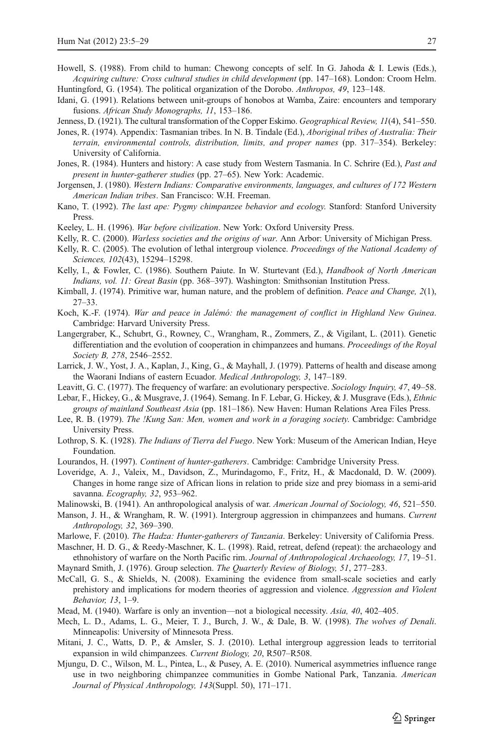- <span id="page-22-0"></span>Howell, S. (1988). From child to human: Chewong concepts of self. In G. Jahoda & I. Lewis (Eds.), Acquiring culture: Cross cultural studies in child development (pp. 147–168). London: Croom Helm. Huntingford, G. (1954). The political organization of the Dorobo. Anthropos, 49, 123–148.
- Idani, G. (1991). Relations between unit-groups of honobos at Wamba, Zaire: encounters and temporary fusions. African Study Monographs, 11, 153–186.

Jenness, D. (1921). The cultural transformation of the Copper Eskimo. Geographical Review, 11(4), 541–550.

- Jones, R. (1974). Appendix: Tasmanian tribes. In N. B. Tindale (Ed.), *Aboriginal tribes of Australia: Their* terrain, environmental controls, distribution, limits, and proper names (pp. 317–354). Berkeley: University of California.
- Jones, R. (1984). Hunters and history: A case study from Western Tasmania. In C. Schrire (Ed.), Past and present in hunter-gatherer studies (pp. 27–65). New York: Academic.
- Jorgensen, J. (1980). Western Indians: Comparative environments, languages, and cultures of 172 Western American Indian tribes. San Francisco: W.H. Freeman.
- Kano, T. (1992). The last ape: Pygmy chimpanzee behavior and ecology. Stanford: Stanford University Press.
- Keeley, L. H. (1996). War before civilization. New York: Oxford University Press.
- Kelly, R. C. (2000). Warless societies and the origins of war. Ann Arbor: University of Michigan Press.
- Kelly, R. C. (2005). The evolution of lethal intergroup violence. Proceedings of the National Academy of Sciences, 102(43), 15294–15298.
- Kelly, I., & Fowler, C. (1986). Southern Paiute. In W. Sturtevant (Ed.), Handbook of North American Indians, vol. 11: Great Basin (pp. 368–397). Washington: Smithsonian Institution Press.
- Kimball, J. (1974). Primitive war, human nature, and the problem of definition. Peace and Change, 2(1), 27–33.
- Koch, K.-F. (1974). War and peace in Jalémó: the management of conflict in Highland New Guinea. Cambridge: Harvard University Press.
- Langergraber, K., Schubrt, G., Rowney, C., Wrangham, R., Zommers, Z., & Vigilant, L. (2011). Genetic differentiation and the evolution of cooperation in chimpanzees and humans. Proceedings of the Royal Society B, 278, 2546-2552.
- Larrick, J. W., Yost, J. A., Kaplan, J., King, G., & Mayhall, J. (1979). Patterns of health and disease among the Waorani Indians of eastern Ecuador. Medical Anthropology, 3, 147–189.
- Leavitt, G. C. (1977). The frequency of warfare: an evolutionary perspective. Sociology Inquiry, 47, 49–58.
- Lebar, F., Hickey, G., & Musgrave, J. (1964). Semang. In F. Lebar, G. Hickey, & J. Musgrave (Eds.), Ethnic groups of mainland Southeast Asia (pp. 181–186). New Haven: Human Relations Area Files Press.
- Lee, R. B. (1979). The !Kung San: Men, women and work in a foraging society. Cambridge: Cambridge University Press.
- Lothrop, S. K. (1928). The Indians of Tierra del Fuego. New York: Museum of the American Indian, Heye Foundation.
- Lourandos, H. (1997). Continent of hunter-gatherers. Cambridge: Cambridge University Press.
- Loveridge, A. J., Valeix, M., Davidson, Z., Murindagomo, F., Fritz, H., & Macdonald, D. W. (2009). Changes in home range size of African lions in relation to pride size and prey biomass in a semi-arid savanna. Ecography, 32, 953–962.
- Malinowski, B. (1941). An anthropological analysis of war. American Journal of Sociology, 46, 521–550.
- Manson, J. H., & Wrangham, R. W. (1991). Intergroup aggression in chimpanzees and humans. Current Anthropology, 32, 369–390.
- Marlowe, F. (2010). The Hadza: Hunter-gatherers of Tanzania. Berkeley: University of California Press.
- Maschner, H. D. G., & Reedy-Maschner, K. L. (1998). Raid, retreat, defend (repeat): the archaeology and ethnohistory of warfare on the North Pacific rim. Journal of Anthropological Archaeology, 17, 19–51.
- Maynard Smith, J. (1976). Group selection. The Quarterly Review of Biology, 51, 277–283.
- McCall, G. S., & Shields, N. (2008). Examining the evidence from small-scale societies and early prehistory and implications for modern theories of aggression and violence. Aggression and Violent Behavior, 13, 1–9.
- Mead, M. (1940). Warfare is only an invention—not a biological necessity. Asia, 40, 402-405.
- Mech, L. D., Adams, L. G., Meier, T. J., Burch, J. W., & Dale, B. W. (1998). The wolves of Denali. Minneapolis: University of Minnesota Press.
- Mitani, J. C., Watts, D. P., & Amsler, S. J. (2010). Lethal intergroup aggression leads to territorial expansion in wild chimpanzees. Current Biology, 20, R507–R508.
- Mjungu, D. C., Wilson, M. L., Pintea, L., & Pusey, A. E. (2010). Numerical asymmetries influence range use in two neighboring chimpanzee communities in Gombe National Park, Tanzania. American Journal of Physical Anthropology, 143(Suppl. 50), 171–171.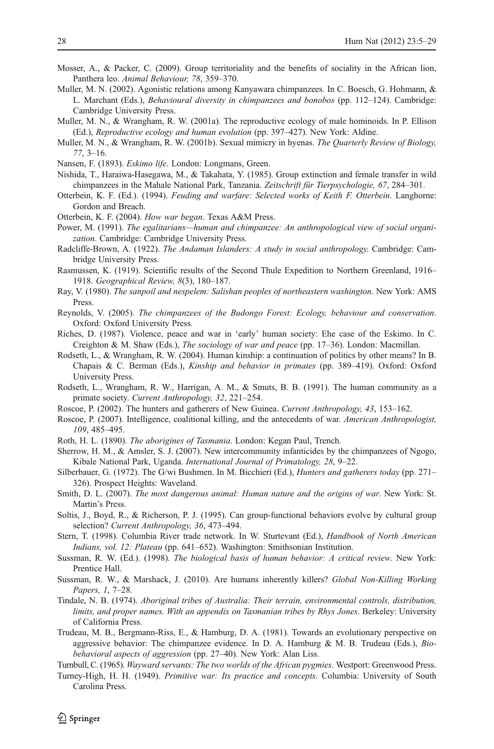- <span id="page-23-0"></span>Mosser, A., & Packer, C. (2009). Group territoriality and the benefits of sociality in the African lion, Panthera leo. Animal Behaviour, 78, 359–370.
- Muller, M. N. (2002). Agonistic relations among Kanyawara chimpanzees. In C. Boesch, G. Hohmann, & L. Marchant (Eds.), Behavioural diversity in chimpanzees and bonobos (pp. 112–124). Cambridge: Cambridge University Press.
- Muller, M. N., & Wrangham, R. W. (2001a). The reproductive ecology of male hominoids. In P. Ellison (Ed.), Reproductive ecology and human evolution (pp. 397–427). New York: Aldine.
- Muller, M. N., & Wrangham, R. W. (2001b). Sexual mimicry in hyenas. The Quarterly Review of Biology, 77, 3–16.
- Nansen, F. (1893). Eskimo life. London: Longmans, Green.
- Nishida, T., Haraiwa-Hasegawa, M., & Takahata, Y. (1985). Group extinction and female transfer in wild chimpanzees in the Mahale National Park, Tanzania. Zeitschrift für Tierpsychologie, 67, 284–301.
- Otterbein, K. F. (Ed.). (1994). Feuding and warfare: Selected works of Keith F. Otterbein. Langhorne: Gordon and Breach.
- Otterbein, K. F. (2004). How war began. Texas A&M Press.
- Power, M. (1991). The egalitarians—human and chimpanzee: An anthropological view of social organization. Cambridge: Cambridge University Press.
- Radcliffe-Brown, A. (1922). The Andaman Islanders: A study in social anthropology. Cambridge: Cambridge University Press.
- Rasmussen, K. (1919). Scientific results of the Second Thule Expedition to Northern Greenland, 1916– 1918. Geographical Review, 8(3), 180–187.
- Ray, V. (1980). The sanpoil and nespelem: Salishan peoples of northeastern washington. New York: AMS Press.
- Reynolds, V. (2005). The chimpanzees of the Budongo Forest: Ecology, behaviour and conservation. Oxford: Oxford University Press.
- Riches, D. (1987). Violence, peace and war in 'early' human society: Ehe case of the Eskimo. In C. Creighton & M. Shaw (Eds.), The sociology of war and peace (pp. 17–36). London: Macmillan.
- Rodseth, L., & Wrangham, R. W. (2004). Human kinship: a continuation of politics by other means? In B. Chapais & C. Berman (Eds.), Kinship and behavior in primates (pp. 389–419). Oxford: Oxford University Press.
- Rodseth, L., Wrangham, R. W., Harrigan, A. M., & Smuts, B. B. (1991). The human community as a primate society. Current Anthropology, 32, 221–254.
- Roscoe, P. (2002). The hunters and gatherers of New Guinea. Current Anthropology, 43, 153–162.
- Roscoe, P. (2007). Intelligence, coalitional killing, and the antecedents of war. American Anthropologist, 109, 485–495.
- Roth, H. L. (1890). The aborigines of Tasmania. London: Kegan Paul, Trench.
- Sherrow, H. M., & Amsler, S. J. (2007). New intercommunity infanticides by the chimpanzees of Ngogo, Kibale National Park, Uganda. International Journal of Primatology, 28, 9–22.
- Silberbauer, G. (1972). The G/wi Bushmen. In M. Bicchieri (Ed.), *Hunters and gatherers today* (pp. 271– 326). Prospect Heights: Waveland.
- Smith, D. L. (2007). The most dangerous animal: Human nature and the origins of war. New York: St. Martin's Press.
- Soltis, J., Boyd, R., & Richerson, P. J. (1995). Can group-functional behaviors evolve by cultural group selection? Current Anthropology, 36, 473–494.
- Stern, T. (1998). Columbia River trade network. In W. Sturtevant (Ed.), Handbook of North American Indians, vol. 12: Plateau (pp. 641–652). Washington: Smithsonian Institution.
- Sussman, R. W. (Ed.). (1998). The biological basis of human behavior: A critical review. New York: Prentice Hall.
- Sussman, R. W., & Marshack, J. (2010). Are humans inherently killers? Global Non-Killing Working Papers, 1, 7–28.
- Tindale, N. B. (1974). Aboriginal tribes of Australia: Their terrain, environmental controls, distribution, limits, and proper names. With an appendix on Tasmanian tribes by Rhys Jones. Berkeley: University of California Press.
- Trudeau, M. B., Bergmann-Riss, E., & Hamburg, D. A. (1981). Towards an evolutionary perspective on aggressive behavior: The chimpanzee evidence. In D. A. Hamburg & M. B. Trudeau (Eds.), Biobehavioral aspects of aggression (pp. 27–40). New York: Alan Liss.
- Turnbull, C. (1965). Wayward servants: The two worlds of the African pygmies. Westport: Greenwood Press.
- Turney-High, H. H. (1949). Primitive war: Its practice and concepts. Columbia: University of South Carolina Press.